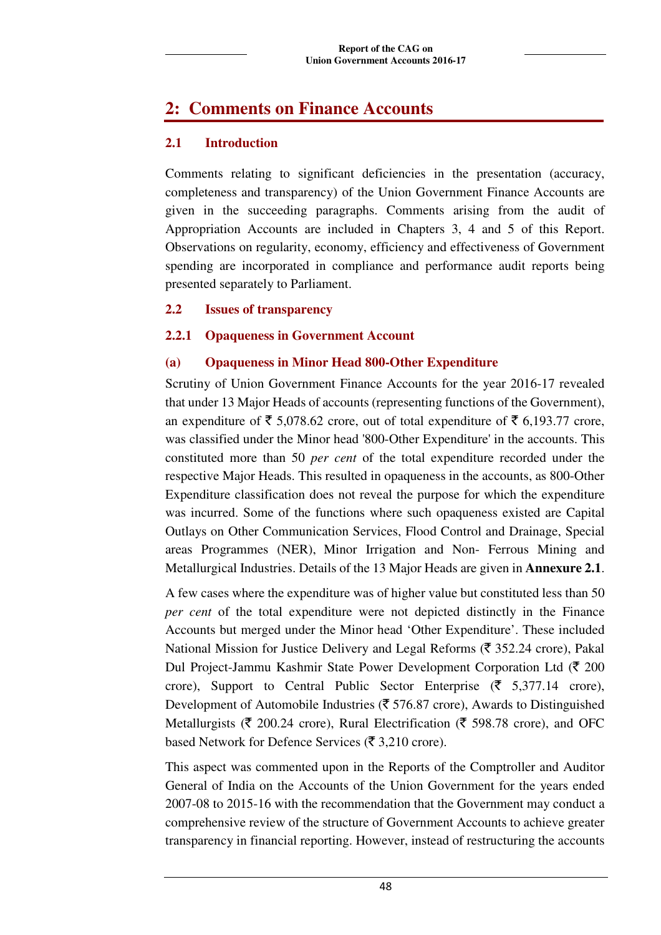# **2: Comments on Finance Accounts**

# **2.1 Introduction**

Comments relating to significant deficiencies in the presentation (accuracy, completeness and transparency) of the Union Government Finance Accounts are given in the succeeding paragraphs. Comments arising from the audit of Appropriation Accounts are included in Chapters 3, 4 and 5 of this Report. Observations on regularity, economy, efficiency and effectiveness of Government spending are incorporated in compliance and performance audit reports being presented separately to Parliament.

### **2.2 Issues of transparency**

# **2.2.1 Opaqueness in Government Account**

### **(a) Opaqueness in Minor Head 800-Other Expenditure**

Scrutiny of Union Government Finance Accounts for the year 2016-17 revealed that under 13 Major Heads of accounts (representing functions of the Government), an expenditure of  $\bar{\xi}$  5,078.62 crore, out of total expenditure of  $\bar{\xi}$  6,193.77 crore, was classified under the Minor head '800-Other Expenditure' in the accounts. This constituted more than 50 *per cent* of the total expenditure recorded under the respective Major Heads. This resulted in opaqueness in the accounts, as 800-Other Expenditure classification does not reveal the purpose for which the expenditure was incurred. Some of the functions where such opaqueness existed are Capital Outlays on Other Communication Services, Flood Control and Drainage, Special areas Programmes (NER), Minor Irrigation and Non- Ferrous Mining and Metallurgical Industries. Details of the 13 Major Heads are given in **Annexure 2.1**.

A few cases where the expenditure was of higher value but constituted less than 50 *per cent* of the total expenditure were not depicted distinctly in the Finance Accounts but merged under the Minor head 'Other Expenditure'. These included National Mission for Justice Delivery and Legal Reforms ( $\bar{\tau}$  352.24 crore), Pakal Dul Project-Jammu Kashmir State Power Development Corporation Ltd  $(\bar{\mathbf{\mathsf{Z}}} 200)$ crore), Support to Central Public Sector Enterprise ( $\bar{\tau}$  5,377.14 crore), Development of Automobile Industries ( $\bar{\tau}$  576.87 crore), Awards to Distinguished Metallurgists ( $\bar{\tau}$  200.24 crore), Rural Electrification ( $\bar{\tau}$  598.78 crore), and OFC based Network for Defence Services ( $\bar{\tau}$  3,210 crore).

This aspect was commented upon in the Reports of the Comptroller and Auditor General of India on the Accounts of the Union Government for the years ended 2007-08 to 2015-16 with the recommendation that the Government may conduct a comprehensive review of the structure of Government Accounts to achieve greater transparency in financial reporting. However, instead of restructuring the accounts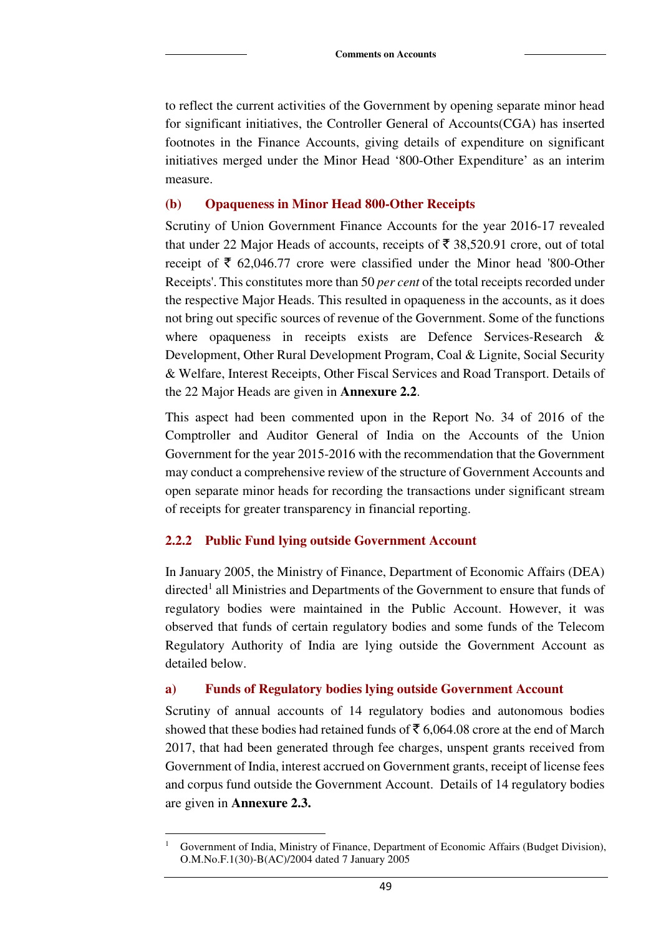to reflect the current activities of the Government by opening separate minor head for significant initiatives, the Controller General of Accounts(CGA) has inserted footnotes in the Finance Accounts, giving details of expenditure on significant initiatives merged under the Minor Head '800-Other Expenditure' as an interim measure.

#### **(b) Opaqueness in Minor Head 800-Other Receipts**

Scrutiny of Union Government Finance Accounts for the year 2016-17 revealed that under 22 Major Heads of accounts, receipts of  $\bar{\tau}$  38,520.91 crore, out of total receipt of  $\bar{\xi}$  62,046.77 crore were classified under the Minor head '800-Other Receipts'. This constitutes more than 50 *per cent* of the total receipts recorded under the respective Major Heads. This resulted in opaqueness in the accounts, as it does not bring out specific sources of revenue of the Government. Some of the functions where opaqueness in receipts exists are Defence Services-Research & Development, Other Rural Development Program, Coal & Lignite, Social Security & Welfare, Interest Receipts, Other Fiscal Services and Road Transport. Details of the 22 Major Heads are given in **Annexure 2.2**.

This aspect had been commented upon in the Report No. 34 of 2016 of the Comptroller and Auditor General of India on the Accounts of the Union Government for the year 2015-2016 with the recommendation that the Government may conduct a comprehensive review of the structure of Government Accounts and open separate minor heads for recording the transactions under significant stream of receipts for greater transparency in financial reporting.

#### **2.2.2 Public Fund lying outside Government Account**

In January 2005, the Ministry of Finance, Department of Economic Affairs (DEA) directed<sup>1</sup> all Ministries and Departments of the Government to ensure that funds of regulatory bodies were maintained in the Public Account. However, it was observed that funds of certain regulatory bodies and some funds of the Telecom Regulatory Authority of India are lying outside the Government Account as detailed below.

#### **a) Funds of Regulatory bodies lying outside Government Account**

Scrutiny of annual accounts of 14 regulatory bodies and autonomous bodies showed that these bodies had retained funds of  $\bar{\tau}$  6,064.08 crore at the end of March 2017, that had been generated through fee charges, unspent grants received from Government of India, interest accrued on Government grants, receipt of license fees and corpus fund outside the Government Account. Details of 14 regulatory bodies are given in **Annexure 2.3.**

 $\overline{a}$ 1 Government of India, Ministry of Finance, Department of Economic Affairs (Budget Division), O.M.No.F.1(30)-B(AC)/2004 dated 7 January 2005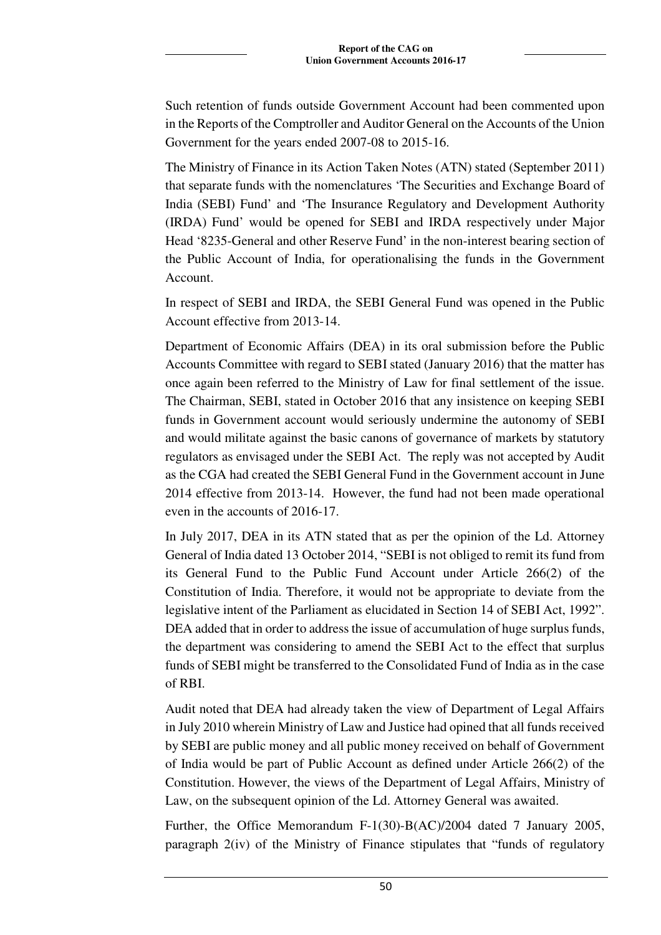Such retention of funds outside Government Account had been commented upon in the Reports of the Comptroller and Auditor General on the Accounts of the Union Government for the years ended 2007-08 to 2015-16.

The Ministry of Finance in its Action Taken Notes (ATN) stated (September 2011) that separate funds with the nomenclatures 'The Securities and Exchange Board of India (SEBI) Fund' and 'The Insurance Regulatory and Development Authority (IRDA) Fund' would be opened for SEBI and IRDA respectively under Major Head '8235-General and other Reserve Fund' in the non-interest bearing section of the Public Account of India, for operationalising the funds in the Government Account.

In respect of SEBI and IRDA, the SEBI General Fund was opened in the Public Account effective from 2013-14.

Department of Economic Affairs (DEA) in its oral submission before the Public Accounts Committee with regard to SEBI stated (January 2016) that the matter has once again been referred to the Ministry of Law for final settlement of the issue. The Chairman, SEBI, stated in October 2016 that any insistence on keeping SEBI funds in Government account would seriously undermine the autonomy of SEBI and would militate against the basic canons of governance of markets by statutory regulators as envisaged under the SEBI Act. The reply was not accepted by Audit as the CGA had created the SEBI General Fund in the Government account in June 2014 effective from 2013-14. However, the fund had not been made operational even in the accounts of 2016-17.

In July 2017, DEA in its ATN stated that as per the opinion of the Ld. Attorney General of India dated 13 October 2014, "SEBI is not obliged to remit its fund from its General Fund to the Public Fund Account under Article 266(2) of the Constitution of India. Therefore, it would not be appropriate to deviate from the legislative intent of the Parliament as elucidated in Section 14 of SEBI Act, 1992". DEA added that in order to address the issue of accumulation of huge surplus funds, the department was considering to amend the SEBI Act to the effect that surplus funds of SEBI might be transferred to the Consolidated Fund of India as in the case of RBI.

Audit noted that DEA had already taken the view of Department of Legal Affairs in July 2010 wherein Ministry of Law and Justice had opined that all funds received by SEBI are public money and all public money received on behalf of Government of India would be part of Public Account as defined under Article 266(2) of the Constitution. However, the views of the Department of Legal Affairs, Ministry of Law, on the subsequent opinion of the Ld. Attorney General was awaited.

Further, the Office Memorandum F-1(30)-B(AC)/2004 dated 7 January 2005, paragraph 2(iv) of the Ministry of Finance stipulates that "funds of regulatory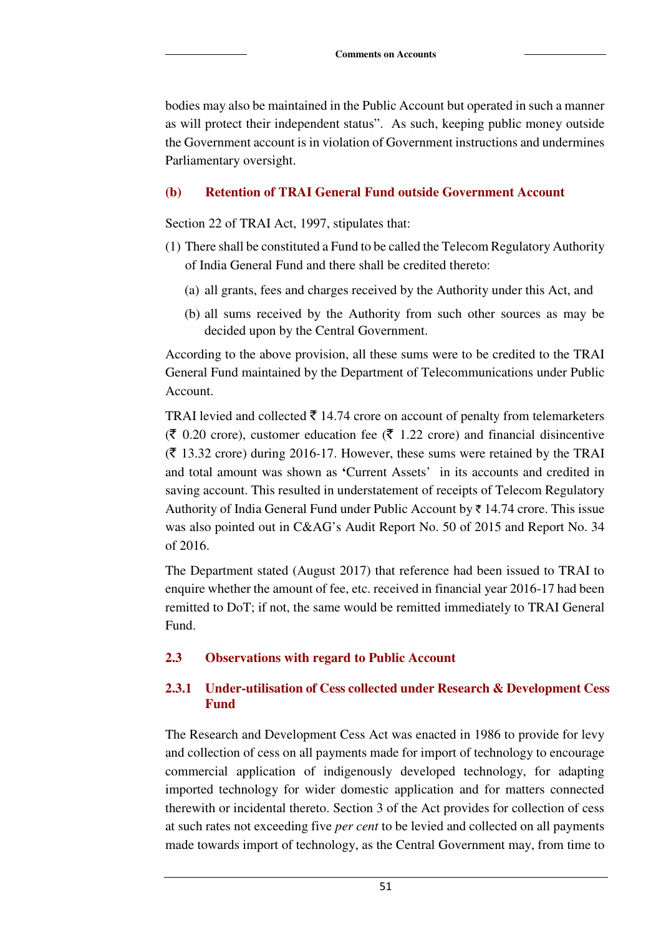bodies may also be maintained in the Public Account but operated in such a manner as will protect their independent status". As such, keeping public money outside the Government account is in violation of Government instructions and undermines Parliamentary oversight.

#### **(b) Retention of TRAI General Fund outside Government Account**

Section 22 of TRAI Act, 1997, stipulates that:

- (1) There shall be constituted a Fund to be called the Telecom Regulatory Authority of India General Fund and there shall be credited thereto:
	- (a) all grants, fees and charges received by the Authority under this Act, and
	- (b) all sums received by the Authority from such other sources as may be decided upon by the Central Government.

According to the above provision, all these sums were to be credited to the TRAI General Fund maintained by the Department of Telecommunications under Public Account.

TRAI levied and collected  $\bar{\tau}$  14.74 crore on account of penalty from telemarketers  $(\bar{\mathbf{\xi}})$  0.20 crore), customer education fee ( $\bar{\mathbf{\xi}}$  1.22 crore) and financial disincentive  $(\bar{\zeta}$  13.32 crore) during 2016-17. However, these sums were retained by the TRAI and total amount was shown as **'**Current Assets' in its accounts and credited in saving account. This resulted in understatement of receipts of Telecom Regulatory Authority of India General Fund under Public Account by  $\bar{\tau}$  14.74 crore. This issue was also pointed out in C&AG's Audit Report No. 50 of 2015 and Report No. 34 of 2016.

The Department stated (August 2017) that reference had been issued to TRAI to enquire whether the amount of fee, etc. received in financial year 2016-17 had been remitted to DoT; if not, the same would be remitted immediately to TRAI General Fund.

#### **2.3 Observations with regard to Public Account**

#### **2.3.1 Under-utilisation of Cess collected under Research & Development Cess Fund**

The Research and Development Cess Act was enacted in 1986 to provide for levy and collection of cess on all payments made for import of technology to encourage commercial application of indigenously developed technology, for adapting imported technology for wider domestic application and for matters connected therewith or incidental thereto. Section 3 of the Act provides for collection of cess at such rates not exceeding five *per cent* to be levied and collected on all payments made towards import of technology, as the Central Government may, from time to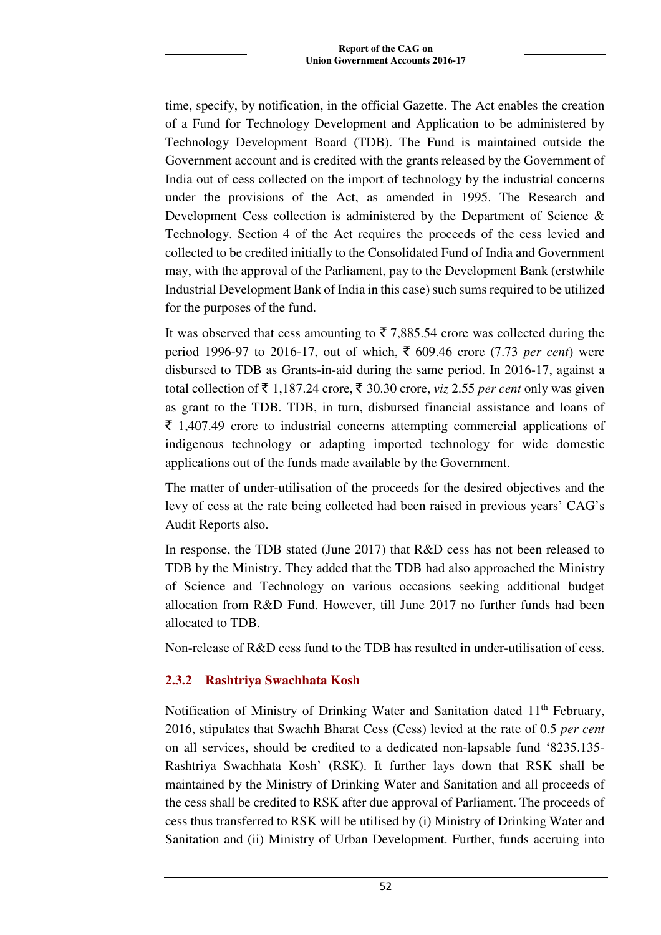time, specify, by notification, in the official Gazette. The Act enables the creation of a Fund for Technology Development and Application to be administered by Technology Development Board (TDB). The Fund is maintained outside the Government account and is credited with the grants released by the Government of India out of cess collected on the import of technology by the industrial concerns under the provisions of the Act, as amended in 1995. The Research and Development Cess collection is administered by the Department of Science & Technology. Section 4 of the Act requires the proceeds of the cess levied and collected to be credited initially to the Consolidated Fund of India and Government may, with the approval of the Parliament, pay to the Development Bank (erstwhile Industrial Development Bank of India in this case) such sums required to be utilized for the purposes of the fund.

It was observed that cess amounting to  $\bar{\tau}$  7,885.54 crore was collected during the period 1996-97 to 2016-17, out of which,  $\bar{\xi}$  609.46 crore (7.73 *per cent*) were disbursed to TDB as Grants-in-aid during the same period. In 2016-17, against a total collection of  $\bar{\tau}$  1,187.24 crore,  $\bar{\tau}$  30.30 crore, *viz* 2.55 *per cent* only was given as grant to the TDB. TDB, in turn, disbursed financial assistance and loans of  $\bar{\tau}$  1,407.49 crore to industrial concerns attempting commercial applications of indigenous technology or adapting imported technology for wide domestic applications out of the funds made available by the Government.

The matter of under-utilisation of the proceeds for the desired objectives and the levy of cess at the rate being collected had been raised in previous years' CAG's Audit Reports also.

In response, the TDB stated (June 2017) that R&D cess has not been released to TDB by the Ministry. They added that the TDB had also approached the Ministry of Science and Technology on various occasions seeking additional budget allocation from R&D Fund. However, till June 2017 no further funds had been allocated to TDB.

Non-release of R&D cess fund to the TDB has resulted in under-utilisation of cess.

# **2.3.2 Rashtriya Swachhata Kosh**

Notification of Ministry of Drinking Water and Sanitation dated 11<sup>th</sup> February, 2016, stipulates that Swachh Bharat Cess (Cess) levied at the rate of 0.5 *per cent* on all services, should be credited to a dedicated non-lapsable fund '8235.135- Rashtriya Swachhata Kosh' (RSK). It further lays down that RSK shall be maintained by the Ministry of Drinking Water and Sanitation and all proceeds of the cess shall be credited to RSK after due approval of Parliament. The proceeds of cess thus transferred to RSK will be utilised by (i) Ministry of Drinking Water and Sanitation and (ii) Ministry of Urban Development. Further, funds accruing into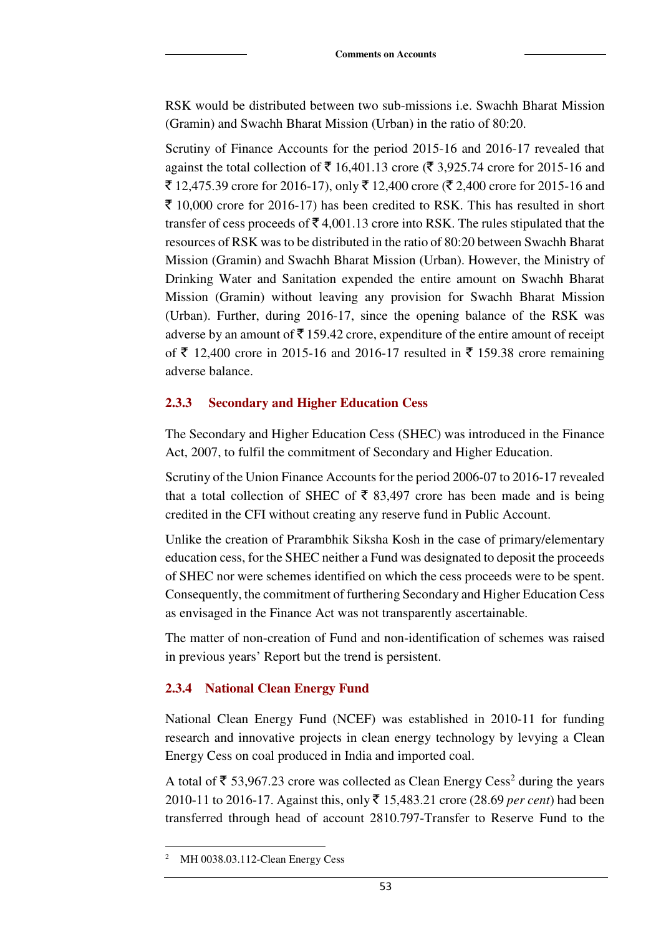RSK would be distributed between two sub-missions i.e. Swachh Bharat Mission (Gramin) and Swachh Bharat Mission (Urban) in the ratio of 80:20.

Scrutiny of Finance Accounts for the period 2015-16 and 2016-17 revealed that against the total collection of  $\bar{\mathfrak{c}}$  16,401.13 crore ( $\bar{\mathfrak{c}}$  3,925.74 crore for 2015-16 and ₹ 12,475.39 crore for 2016-17), only ₹ 12,400 crore (₹ 2,400 crore for 2015-16 and  $\bar{\xi}$  10,000 crore for 2016-17) has been credited to RSK. This has resulted in short transfer of cess proceeds of  $\bar{\mathcal{F}}$  4,001.13 crore into RSK. The rules stipulated that the resources of RSK was to be distributed in the ratio of 80:20 between Swachh Bharat Mission (Gramin) and Swachh Bharat Mission (Urban). However, the Ministry of Drinking Water and Sanitation expended the entire amount on Swachh Bharat Mission (Gramin) without leaving any provision for Swachh Bharat Mission (Urban). Further, during 2016-17, since the opening balance of the RSK was adverse by an amount of  $\bar{\tau}$  159.42 crore, expenditure of the entire amount of receipt of ₹ 12,400 crore in 2015-16 and 2016-17 resulted in ₹ 159.38 crore remaining adverse balance.

#### **2.3.3 Secondary and Higher Education Cess**

The Secondary and Higher Education Cess (SHEC) was introduced in the Finance Act, 2007, to fulfil the commitment of Secondary and Higher Education.

Scrutiny of the Union Finance Accounts for the period 2006-07 to 2016-17 revealed that a total collection of SHEC of  $\bar{\tau}$  83,497 crore has been made and is being credited in the CFI without creating any reserve fund in Public Account.

Unlike the creation of Prarambhik Siksha Kosh in the case of primary/elementary education cess, for the SHEC neither a Fund was designated to deposit the proceeds of SHEC nor were schemes identified on which the cess proceeds were to be spent. Consequently, the commitment of furthering Secondary and Higher Education Cess as envisaged in the Finance Act was not transparently ascertainable.

The matter of non-creation of Fund and non-identification of schemes was raised in previous years' Report but the trend is persistent.

# **2.3.4 National Clean Energy Fund**

National Clean Energy Fund (NCEF) was established in 2010-11 for funding research and innovative projects in clean energy technology by levying a Clean Energy Cess on coal produced in India and imported coal.

A total of  $\bar{\tau}$  53,967.23 crore was collected as Clean Energy Cess<sup>2</sup> during the years 2010-11 to 2016-17. Against this, only ` 15,483.21 crore (28.69 *per cent*) had been transferred through head of account 2810.797-Transfer to Reserve Fund to the

 $\overline{a}$ 2 MH 0038.03.112-Clean Energy Cess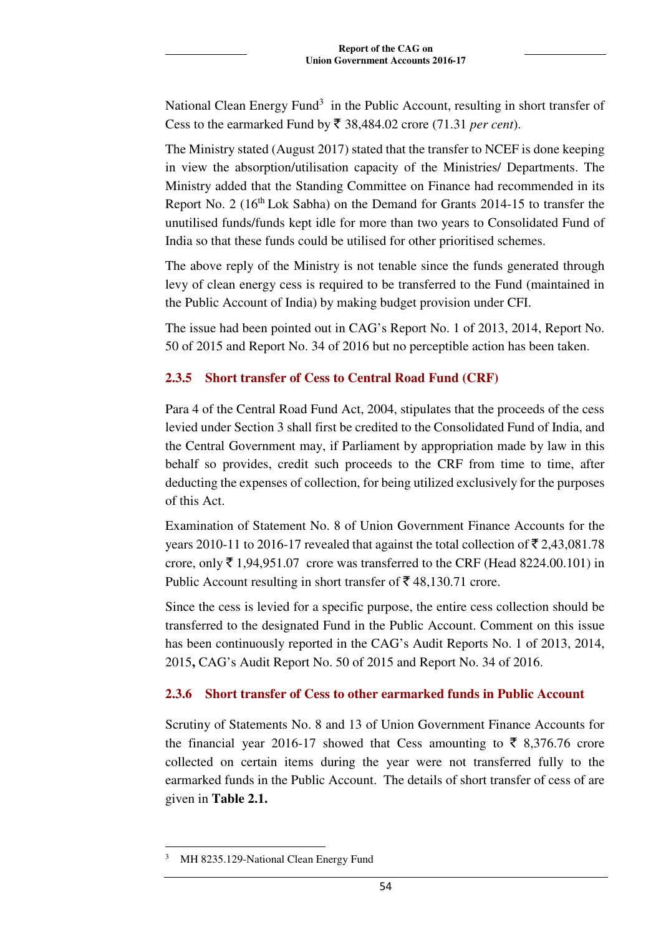National Clean Energy Fund<sup>3</sup> in the Public Account, resulting in short transfer of Cess to the earmarked Fund by  $\bar{\tau}$  38,484.02 crore (71.31 *per cent*).

The Ministry stated (August 2017) stated that the transfer to NCEF is done keeping in view the absorption/utilisation capacity of the Ministries/ Departments. The Ministry added that the Standing Committee on Finance had recommended in its Report No. 2  $(16<sup>th</sup> Lok Sabha)$  on the Demand for Grants 2014-15 to transfer the unutilised funds/funds kept idle for more than two years to Consolidated Fund of India so that these funds could be utilised for other prioritised schemes.

The above reply of the Ministry is not tenable since the funds generated through levy of clean energy cess is required to be transferred to the Fund (maintained in the Public Account of India) by making budget provision under CFI.

The issue had been pointed out in CAG's Report No. 1 of 2013, 2014, Report No. 50 of 2015 and Report No. 34 of 2016 but no perceptible action has been taken.

### **2.3.5 Short transfer of Cess to Central Road Fund (CRF)**

Para 4 of the Central Road Fund Act, 2004, stipulates that the proceeds of the cess levied under Section 3 shall first be credited to the Consolidated Fund of India, and the Central Government may, if Parliament by appropriation made by law in this behalf so provides, credit such proceeds to the CRF from time to time, after deducting the expenses of collection, for being utilized exclusively for the purposes of this Act.

Examination of Statement No. 8 of Union Government Finance Accounts for the years 2010-11 to 2016-17 revealed that against the total collection of  $\bar{\mathfrak{r}}$  2,43,081.78 crore, only  $\bar{\tau}$  1,94,951.07 crore was transferred to the CRF (Head 8224.00.101) in Public Account resulting in short transfer of  $\bar{\mathfrak{g}}$  48,130.71 crore.

Since the cess is levied for a specific purpose, the entire cess collection should be transferred to the designated Fund in the Public Account. Comment on this issue has been continuously reported in the CAG's Audit Reports No. 1 of 2013, 2014, 2015**,** CAG's Audit Report No. 50 of 2015 and Report No. 34 of 2016.

# **2.3.6 Short transfer of Cess to other earmarked funds in Public Account**

Scrutiny of Statements No. 8 and 13 of Union Government Finance Accounts for the financial year 2016-17 showed that Cess amounting to  $\bar{\xi}$  8,376.76 crore collected on certain items during the year were not transferred fully to the earmarked funds in the Public Account. The details of short transfer of cess of are given in **Table 2.1.** 

 $\overline{a}$ 3 MH 8235.129-National Clean Energy Fund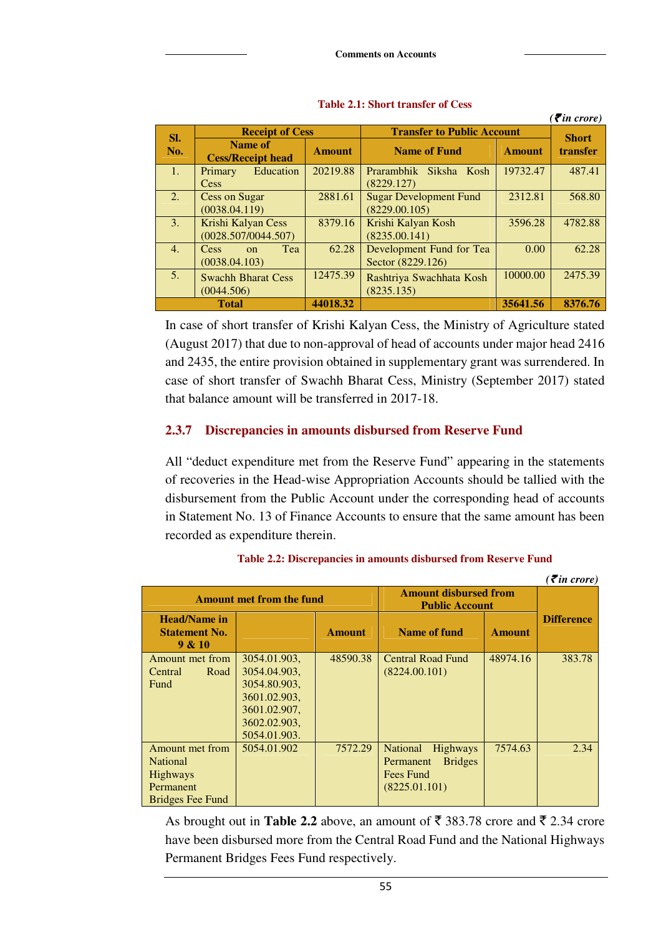| $( \bar{\mathbf{z}}$ in crore) |                                            |               |                                   |               |              |  |
|--------------------------------|--------------------------------------------|---------------|-----------------------------------|---------------|--------------|--|
| SI.                            | <b>Receipt of Cess</b>                     |               | <b>Transfer to Public Account</b> |               | <b>Short</b> |  |
| No.                            | <b>Name of</b><br><b>Cess/Receipt head</b> | <b>Amount</b> | <b>Name of Fund</b>               | <b>Amount</b> | transfer     |  |
| 1.                             | Education<br>Primary                       | 20219.88      | Prarambhik<br>Siksha Kosh         | 19732.47      | 487.41       |  |
|                                | Cess                                       |               | (8229.127)                        |               |              |  |
| 2.                             | <b>Cess on Sugar</b>                       | 2881.61       | <b>Sugar Development Fund</b>     | 2312.81       | 568.80       |  |
|                                | (0038.04.119)                              |               | (8229.00.105)                     |               |              |  |
| $\mathbf{3}$ .                 | Krishi Kalyan Cess                         | 8379.16       | Krishi Kalyan Kosh                | 3596.28       | 4782.88      |  |
|                                | (0028.507/0044.507)                        |               | (8235.00.141)                     |               |              |  |
| 4.                             | <b>Tea</b><br><b>Cess</b><br>$\Omega$      | 62.28         | Development Fund for Tea          | 0.00          | 62.28        |  |
|                                | (0038.04.103)                              |               | Sector (8229.126)                 |               |              |  |
| 5 <sub>1</sub>                 | 12475.39<br><b>Swachh Bharat Cess</b>      |               | Rashtriya Swachhata Kosh          | 10000.00      | 2475.39      |  |
|                                | (0044.506)                                 |               | (8235.135)                        |               |              |  |
|                                | <b>Total</b>                               | 44018.32      |                                   | 35641.56      | 8376.76      |  |

**Table 2.1: Short transfer of Cess** 

In case of short transfer of Krishi Kalyan Cess, the Ministry of Agriculture stated (August 2017) that due to non-approval of head of accounts under major head 2416 and 2435, the entire provision obtained in supplementary grant was surrendered. In case of short transfer of Swachh Bharat Cess, Ministry (September 2017) stated that balance amount will be transferred in 2017-18.

#### **2.3.7 Discrepancies in amounts disbursed from Reserve Fund**

All "deduct expenditure met from the Reserve Fund" appearing in the statements of recoveries in the Head-wise Appropriation Accounts should be tallied with the disbursement from the Public Account under the corresponding head of accounts in Statement No. 13 of Finance Accounts to ensure that the same amount has been recorded as expenditure therein.

| $\zeta$ in crore)                                                                                    |                                                                                                              |               |                                                                                          |               |                   |  |  |
|------------------------------------------------------------------------------------------------------|--------------------------------------------------------------------------------------------------------------|---------------|------------------------------------------------------------------------------------------|---------------|-------------------|--|--|
|                                                                                                      | <b>Amount met from the fund</b>                                                                              |               | <b>Amount disbursed from</b><br><b>Public Account</b>                                    |               |                   |  |  |
| <b>Head/Name in</b><br><b>Statement No.</b><br>9 & 10                                                |                                                                                                              | <b>Amount</b> | Name of fund                                                                             | <b>Amount</b> | <b>Difference</b> |  |  |
| Amount met from<br>Road<br>Central<br><b>Fund</b>                                                    | 3054.01.903.<br>3054.04.903,<br>3054.80.903,<br>3601.02.903,<br>3601.02.907,<br>3602.02.903,<br>5054.01.903. | 48590.38      | <b>Central Road Fund</b><br>(8224.00.101)                                                | 48974.16      | 383.78            |  |  |
| <b>Amount met from</b><br><b>National</b><br><b>Highways</b><br>Permanent<br><b>Bridges Fee Fund</b> | 5054.01.902                                                                                                  | 7572.29       | <b>National</b><br>Highways<br><b>Bridges</b><br>Permanent<br>Fees Fund<br>(8225.01.101) | 7574.63       | 2.34              |  |  |

**Table 2.2: Discrepancies in amounts disbursed from Reserve Fund** 

As brought out in **Table 2.2** above, an amount of  $\bar{\tau}$  383.78 crore and  $\bar{\tau}$  2.34 crore have been disbursed more from the Central Road Fund and the National Highways Permanent Bridges Fees Fund respectively.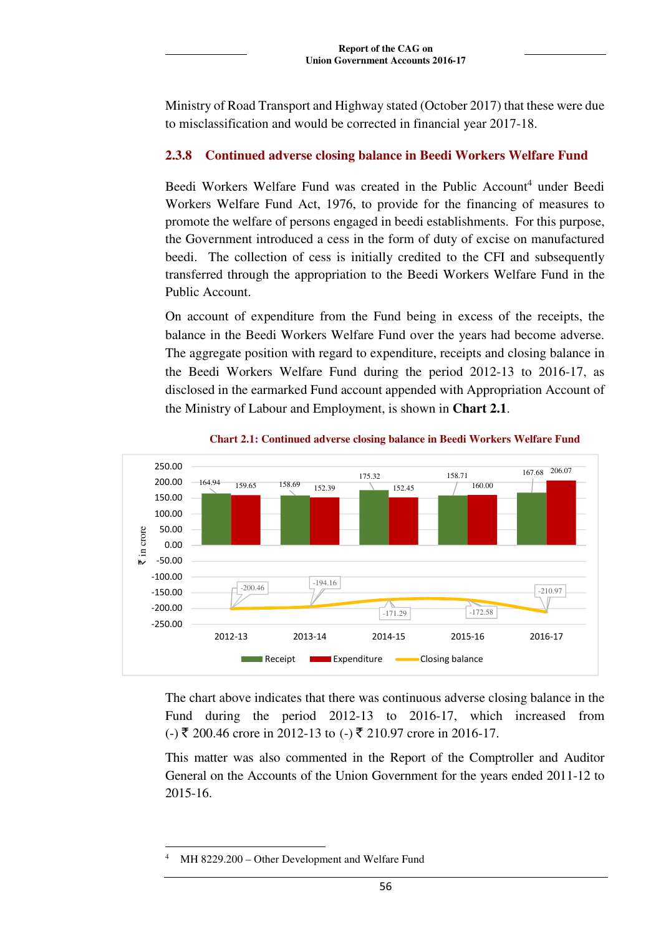Ministry of Road Transport and Highway stated (October 2017) that these were due to misclassification and would be corrected in financial year 2017-18.

# **2.3.8 Continued adverse closing balance in Beedi Workers Welfare Fund**

Beedi Workers Welfare Fund was created in the Public Account<sup>4</sup> under Beedi Workers Welfare Fund Act, 1976, to provide for the financing of measures to promote the welfare of persons engaged in beedi establishments. For this purpose, the Government introduced a cess in the form of duty of excise on manufactured beedi. The collection of cess is initially credited to the CFI and subsequently transferred through the appropriation to the Beedi Workers Welfare Fund in the Public Account.

On account of expenditure from the Fund being in excess of the receipts, the balance in the Beedi Workers Welfare Fund over the years had become adverse. The aggregate position with regard to expenditure, receipts and closing balance in the Beedi Workers Welfare Fund during the period 2012-13 to 2016-17, as disclosed in the earmarked Fund account appended with Appropriation Account of the Ministry of Labour and Employment, is shown in **Chart 2.1**.



**Chart 2.1: Continued adverse closing balance in Beedi Workers Welfare Fund** 

The chart above indicates that there was continuous adverse closing balance in the Fund during the period 2012-13 to 2016-17, which increased from (-) ₹ 200.46 crore in 2012-13 to (-) ₹ 210.97 crore in 2016-17.

This matter was also commented in the Report of the Comptroller and Auditor General on the Accounts of the Union Government for the years ended 2011-12 to 2015-16.

 $\overline{a}$ 4 MH 8229.200 – Other Development and Welfare Fund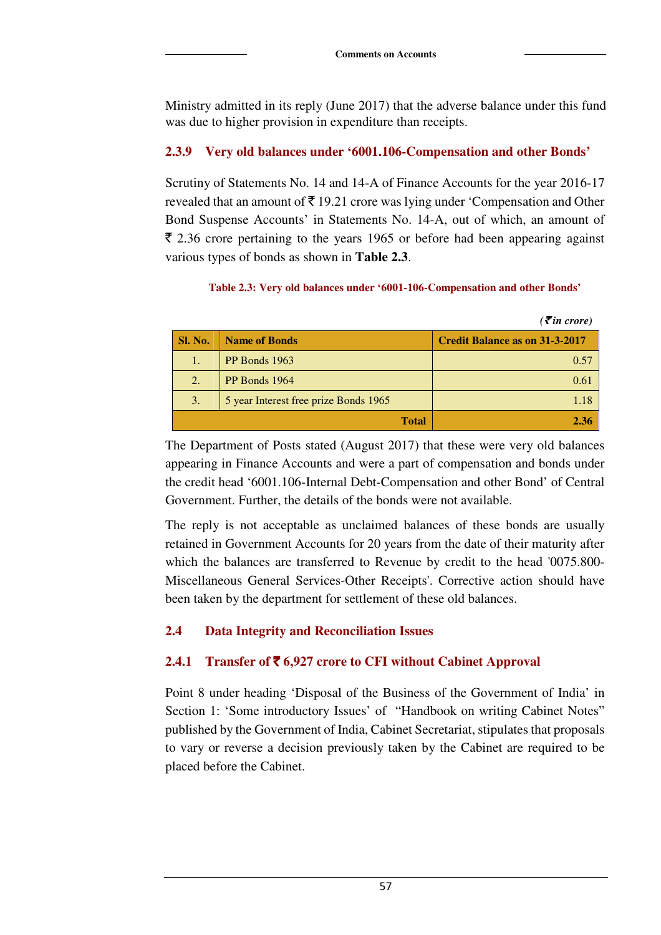Ministry admitted in its reply (June 2017) that the adverse balance under this fund was due to higher provision in expenditure than receipts.

#### **2.3.9 Very old balances under '6001.106-Compensation and other Bonds'**

Scrutiny of Statements No. 14 and 14-A of Finance Accounts for the year 2016-17 revealed that an amount of  $\bar{\xi}$  19.21 crore was lying under 'Compensation and Other Bond Suspense Accounts' in Statements No. 14-A, out of which, an amount of  $\bar{\xi}$  2.36 crore pertaining to the years 1965 or before had been appearing against various types of bonds as shown in **Table 2.3**.

#### **Table 2.3: Very old balances under '6001-106-Compensation and other Bonds'**

|                |                                       | $( \bar{\mathbf{z}}$ in crore)        |
|----------------|---------------------------------------|---------------------------------------|
| <b>Sl. No.</b> | <b>Name of Bonds</b>                  | <b>Credit Balance as on 31-3-2017</b> |
| 1.             | PP Bonds 1963                         | 0.57                                  |
| 2.             | PP Bonds 1964                         | 0.61                                  |
| 3.             | 5 year Interest free prize Bonds 1965 | 1.18                                  |
|                | <b>Total</b>                          | 2.36                                  |

The Department of Posts stated (August 2017) that these were very old balances appearing in Finance Accounts and were a part of compensation and bonds under the credit head '6001.106-Internal Debt-Compensation and other Bond' of Central Government. Further, the details of the bonds were not available.

The reply is not acceptable as unclaimed balances of these bonds are usually retained in Government Accounts for 20 years from the date of their maturity after which the balances are transferred to Revenue by credit to the head '0075.800- Miscellaneous General Services-Other Receipts'. Corrective action should have been taken by the department for settlement of these old balances.

#### **2.4 Data Integrity and Reconciliation Issues**

#### **2.4.1 Transfer of** ` **6,927 crore to CFI without Cabinet Approval**

Point 8 under heading 'Disposal of the Business of the Government of India' in Section 1: 'Some introductory Issues' of "Handbook on writing Cabinet Notes" published by the Government of India, Cabinet Secretariat, stipulates that proposals to vary or reverse a decision previously taken by the Cabinet are required to be placed before the Cabinet.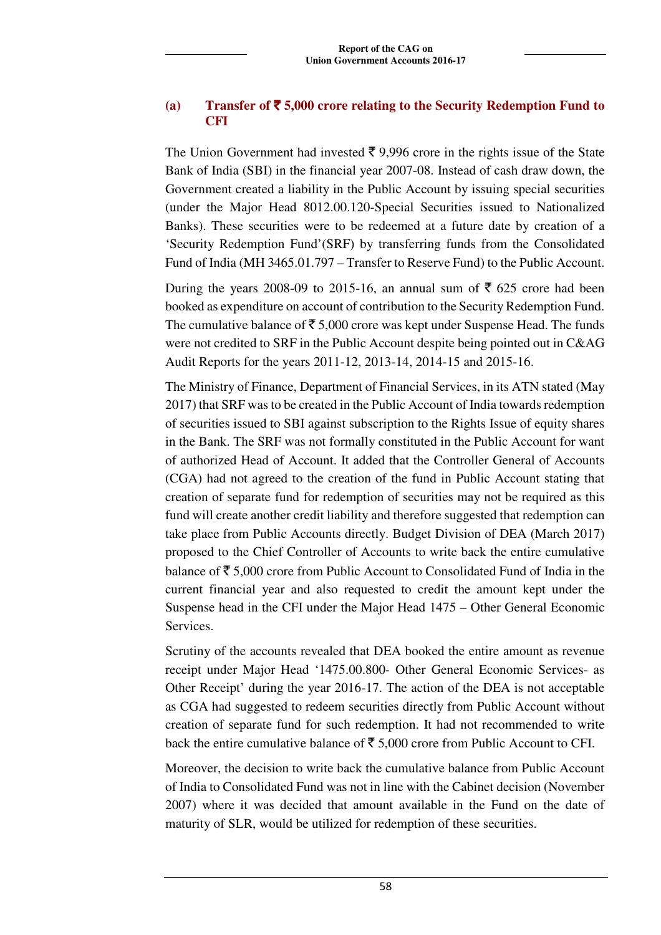### **(a) Transfer of** ` **5,000 crore relating to the Security Redemption Fund to CFI**

The Union Government had invested  $\bar{\tau}$  9,996 crore in the rights issue of the State Bank of India (SBI) in the financial year 2007-08. Instead of cash draw down, the Government created a liability in the Public Account by issuing special securities (under the Major Head 8012.00.120-Special Securities issued to Nationalized Banks). These securities were to be redeemed at a future date by creation of a 'Security Redemption Fund'(SRF) by transferring funds from the Consolidated Fund of India (MH 3465.01.797 – Transfer to Reserve Fund) to the Public Account.

During the years 2008-09 to 2015-16, an annual sum of  $\bar{\xi}$  625 crore had been booked as expenditure on account of contribution to the Security Redemption Fund. The cumulative balance of  $\bar{\tau}$  5,000 crore was kept under Suspense Head. The funds were not credited to SRF in the Public Account despite being pointed out in C&AG Audit Reports for the years 2011-12, 2013-14, 2014-15 and 2015-16.

The Ministry of Finance, Department of Financial Services, in its ATN stated (May 2017) that SRF was to be created in the Public Account of India towards redemption of securities issued to SBI against subscription to the Rights Issue of equity shares in the Bank. The SRF was not formally constituted in the Public Account for want of authorized Head of Account. It added that the Controller General of Accounts (CGA) had not agreed to the creation of the fund in Public Account stating that creation of separate fund for redemption of securities may not be required as this fund will create another credit liability and therefore suggested that redemption can take place from Public Accounts directly. Budget Division of DEA (March 2017) proposed to the Chief Controller of Accounts to write back the entire cumulative balance of  $\bar{\mathcal{F}}$  5,000 crore from Public Account to Consolidated Fund of India in the current financial year and also requested to credit the amount kept under the Suspense head in the CFI under the Major Head 1475 – Other General Economic Services.

Scrutiny of the accounts revealed that DEA booked the entire amount as revenue receipt under Major Head '1475.00.800- Other General Economic Services- as Other Receipt' during the year 2016-17. The action of the DEA is not acceptable as CGA had suggested to redeem securities directly from Public Account without creation of separate fund for such redemption. It had not recommended to write back the entire cumulative balance of  $\bar{\tau}$  5,000 crore from Public Account to CFI.

Moreover, the decision to write back the cumulative balance from Public Account of India to Consolidated Fund was not in line with the Cabinet decision (November 2007) where it was decided that amount available in the Fund on the date of maturity of SLR, would be utilized for redemption of these securities.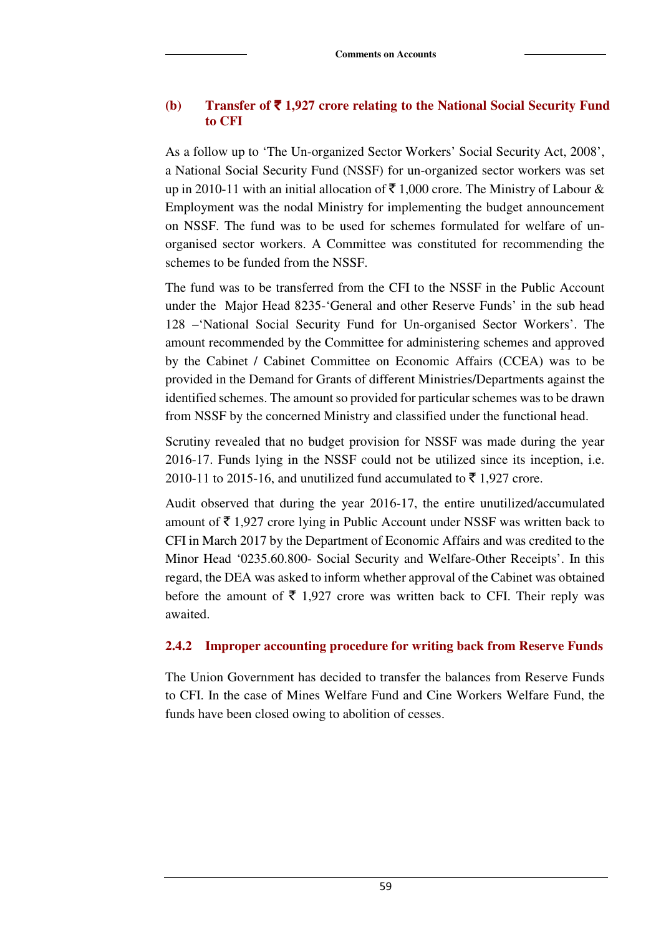### **(b) Transfer of** ` **1,927 crore relating to the National Social Security Fund to CFI**

As a follow up to 'The Un-organized Sector Workers' Social Security Act, 2008', a National Social Security Fund (NSSF) for un-organized sector workers was set up in 2010-11 with an initial allocation of  $\bar{\tau}$  1,000 crore. The Ministry of Labour & Employment was the nodal Ministry for implementing the budget announcement on NSSF. The fund was to be used for schemes formulated for welfare of unorganised sector workers. A Committee was constituted for recommending the schemes to be funded from the NSSF.

The fund was to be transferred from the CFI to the NSSF in the Public Account under the Major Head 8235-'General and other Reserve Funds' in the sub head 128 –'National Social Security Fund for Un-organised Sector Workers'. The amount recommended by the Committee for administering schemes and approved by the Cabinet / Cabinet Committee on Economic Affairs (CCEA) was to be provided in the Demand for Grants of different Ministries/Departments against the identified schemes. The amount so provided for particular schemes was to be drawn from NSSF by the concerned Ministry and classified under the functional head.

Scrutiny revealed that no budget provision for NSSF was made during the year 2016-17. Funds lying in the NSSF could not be utilized since its inception, i.e. 2010-11 to 2015-16, and unutilized fund accumulated to  $\bar{\tau}$  1,927 crore.

Audit observed that during the year 2016-17, the entire unutilized/accumulated amount of  $\bar{\tau}$  1,927 crore lying in Public Account under NSSF was written back to CFI in March 2017 by the Department of Economic Affairs and was credited to the Minor Head '0235.60.800- Social Security and Welfare-Other Receipts'. In this regard, the DEA was asked to inform whether approval of the Cabinet was obtained before the amount of  $\bar{\tau}$  1,927 crore was written back to CFI. Their reply was awaited.

# **2.4.2 Improper accounting procedure for writing back from Reserve Funds**

The Union Government has decided to transfer the balances from Reserve Funds to CFI. In the case of Mines Welfare Fund and Cine Workers Welfare Fund, the funds have been closed owing to abolition of cesses.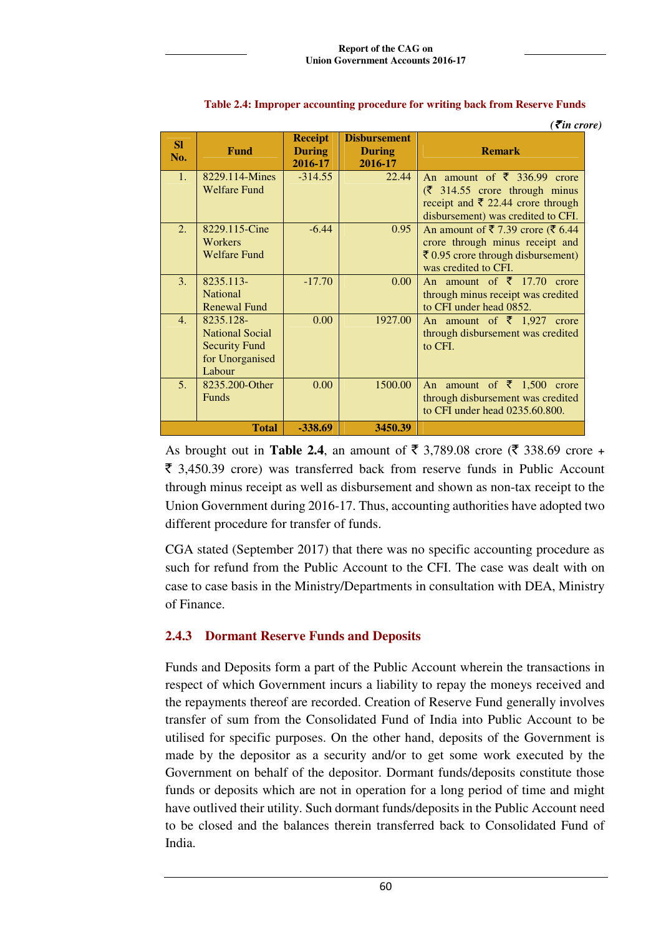|                  |                                                                                          |                                            |                                                 | $\left($ <i>₹in crore</i> )                                                                                                                                                   |
|------------------|------------------------------------------------------------------------------------------|--------------------------------------------|-------------------------------------------------|-------------------------------------------------------------------------------------------------------------------------------------------------------------------------------|
| <b>SI</b><br>No. | <b>Fund</b>                                                                              | <b>Receipt</b><br><b>During</b><br>2016-17 | <b>Disbursement</b><br><b>During</b><br>2016-17 | <b>Remark</b>                                                                                                                                                                 |
| 1 <sub>1</sub>   | 8229.114-Mines<br><b>Welfare Fund</b>                                                    | $-314.55$                                  | 22.44                                           | An amount of $\bar{\xi}$ 336.99 crore<br>$(\bar{\zeta}$ 314.55 crore through minus<br>receipt and ₹ 22.44 crore through<br>disbursement) was credited to CFI.                 |
| 2.               | 8229.115-Cine<br>Workers<br><b>Welfare Fund</b>                                          | $-6.44$                                    | 0.95                                            | An amount of $\bar{\mathbf{z}}$ 7.39 crore ( $\bar{\mathbf{z}}$ 6.44<br>crore through minus receipt and<br>$\bar{z}$ 0.95 crore through disbursement)<br>was credited to CFI. |
| 3.               | 8235.113-<br><b>National</b><br><b>Renewal Fund</b>                                      | $-17.70$                                   | 0.00 <sub>1</sub>                               | An amount of $\bar{\xi}$ 17.70<br>crore<br>through minus receipt was credited<br>to CFI under head 0852.                                                                      |
| $\mathbf{4}$ .   | 8235.128-<br><b>National Social</b><br><b>Security Fund</b><br>for Unorganised<br>Labour | 0.00                                       | 1927.00                                         | An amount of $\bar{\tau}$ 1,927 crore<br>through disbursement was credited<br>to CFI.                                                                                         |
| 5 <sub>1</sub>   | 8235.200-Other<br><b>Funds</b>                                                           | 0.00                                       | 1500.00                                         | An amount of $\bar{\tau}$ 1,500 crore<br>through disbursement was credited<br>to CFI under head 0235.60.800.                                                                  |
|                  | <b>Total</b>                                                                             | -338.69                                    | 3450.39                                         |                                                                                                                                                                               |

#### **Table 2.4: Improper accounting procedure for writing back from Reserve Funds**

As brought out in **Table 2.4**, an amount of  $\bar{\tau}$  3,789.08 crore ( $\bar{\tau}$  338.69 crore +  $\bar{\xi}$  3,450.39 crore) was transferred back from reserve funds in Public Account through minus receipt as well as disbursement and shown as non-tax receipt to the Union Government during 2016-17. Thus, accounting authorities have adopted two different procedure for transfer of funds.

CGA stated (September 2017) that there was no specific accounting procedure as such for refund from the Public Account to the CFI. The case was dealt with on case to case basis in the Ministry/Departments in consultation with DEA, Ministry of Finance.

# **2.4.3 Dormant Reserve Funds and Deposits**

Funds and Deposits form a part of the Public Account wherein the transactions in respect of which Government incurs a liability to repay the moneys received and the repayments thereof are recorded. Creation of Reserve Fund generally involves transfer of sum from the Consolidated Fund of India into Public Account to be utilised for specific purposes. On the other hand, deposits of the Government is made by the depositor as a security and/or to get some work executed by the Government on behalf of the depositor. Dormant funds/deposits constitute those funds or deposits which are not in operation for a long period of time and might have outlived their utility. Such dormant funds/deposits in the Public Account need to be closed and the balances therein transferred back to Consolidated Fund of India.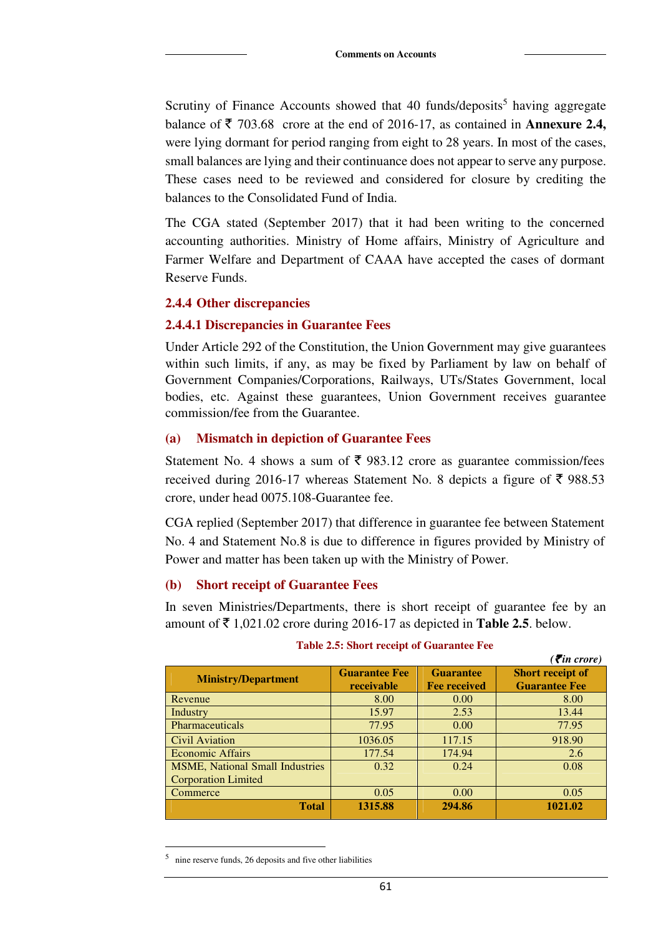Scrutiny of Finance Accounts showed that 40 funds/deposits<sup>5</sup> having aggregate balance of  $\bar{\tau}$  703.68 crore at the end of 2016-17, as contained in **Annexure 2.4**, were lying dormant for period ranging from eight to 28 years. In most of the cases, small balances are lying and their continuance does not appear to serve any purpose. These cases need to be reviewed and considered for closure by crediting the balances to the Consolidated Fund of India.

The CGA stated (September 2017) that it had been writing to the concerned accounting authorities. Ministry of Home affairs, Ministry of Agriculture and Farmer Welfare and Department of CAAA have accepted the cases of dormant Reserve Funds.

#### **2.4.4 Other discrepancies**

#### **2.4.4.1 Discrepancies in Guarantee Fees**

Under Article 292 of the Constitution, the Union Government may give guarantees within such limits, if any, as may be fixed by Parliament by law on behalf of Government Companies/Corporations, Railways, UTs/States Government, local bodies, etc. Against these guarantees, Union Government receives guarantee commission/fee from the Guarantee.

#### **(a) Mismatch in depiction of Guarantee Fees**

Statement No. 4 shows a sum of  $\bar{\tau}$  983.12 crore as guarantee commission/fees received during 2016-17 whereas Statement No. 8 depicts a figure of  $\bar{\tau}$  988.53 crore, under head 0075.108-Guarantee fee.

CGA replied (September 2017) that difference in guarantee fee between Statement No. 4 and Statement No.8 is due to difference in figures provided by Ministry of Power and matter has been taken up with the Ministry of Power.

#### **(b) Short receipt of Guarantee Fees**

In seven Ministries/Departments, there is short receipt of guarantee fee by an amount of  $\bar{\tau}$  1,021.02 crore during 2016-17 as depicted in **Table 2.5**. below.

|                                        |                      |                     | ( $\bar{\tau}$ in crore) |
|----------------------------------------|----------------------|---------------------|--------------------------|
| <b>Ministry/Department</b>             | <b>Guarantee Fee</b> | <b>Guarantee</b>    | <b>Short receipt of</b>  |
|                                        | receivable           | <b>Fee received</b> | <b>Guarantee Fee</b>     |
| Revenue                                | 8.00                 | 0.00                | 8.00                     |
| Industry                               | 15.97                | 2.53                | 13.44                    |
| <b>Pharmaceuticals</b>                 | 77.95                | 0.00                | 77.95                    |
| Civil Aviation                         | 1036.05              | 117.15              | 918.90                   |
| <b>Economic Affairs</b>                | 177.54               | 174.94              | 2.6                      |
| <b>MSME, National Small Industries</b> | 0.32                 | 0.24                | 0.08                     |
| <b>Corporation Limited</b>             |                      |                     |                          |
| Commerce                               | 0.05                 | 0.00                | 0.05                     |
| <b>Total</b>                           | 1315.88              | 294.86              | 1021.02                  |

#### **Table 2.5: Short receipt of Guarantee Fee**

 $\overline{a}$ 

<sup>5</sup> nine reserve funds, 26 deposits and five other liabilities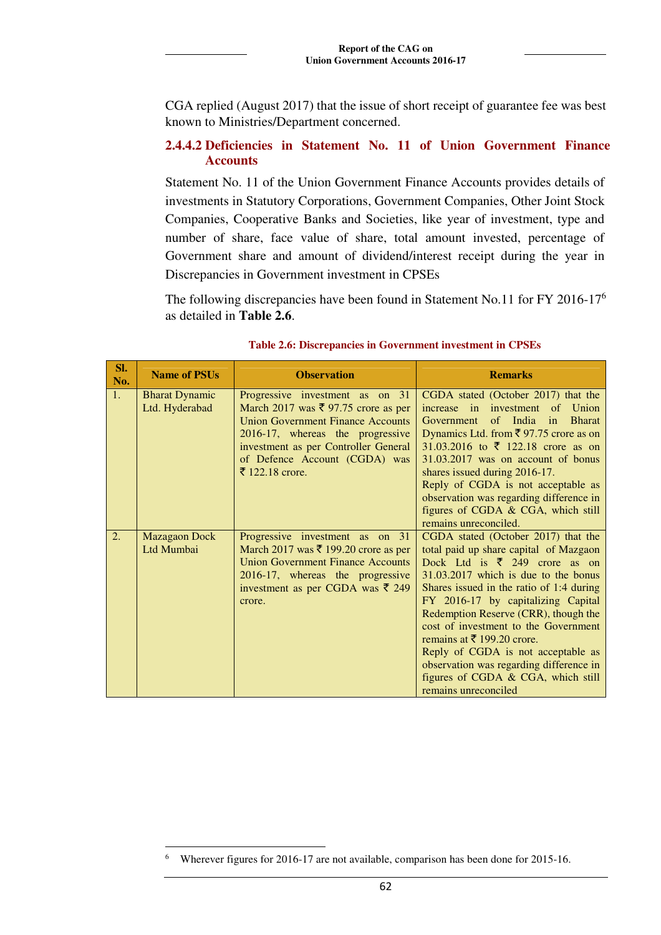CGA replied (August 2017) that the issue of short receipt of guarantee fee was best known to Ministries/Department concerned.

#### **2.4.4.2 Deficiencies in Statement No. 11 of Union Government Finance Accounts**

Statement No. 11 of the Union Government Finance Accounts provides details of investments in Statutory Corporations, Government Companies, Other Joint Stock Companies, Cooperative Banks and Societies, like year of investment, type and number of share, face value of share, total amount invested, percentage of Government share and amount of dividend/interest receipt during the year in Discrepancies in Government investment in CPSEs

The following discrepancies have been found in Statement No.11 for FY 2016-17<sup>6</sup> as detailed in **Table 2.6**.

| SI.<br>No. | <b>Name of PSUs</b>   | <b>Observation</b>                                                    | <b>Remarks</b>                                                                      |
|------------|-----------------------|-----------------------------------------------------------------------|-------------------------------------------------------------------------------------|
| 1.         | <b>Bharat Dynamic</b> | Progressive investment as on 31                                       | CGDA stated (October 2017) that the                                                 |
|            | Ltd. Hyderabad        | March 2017 was $\bar{\xi}$ 97.75 crore as per                         | increase in investment of<br>Union                                                  |
|            |                       | <b>Union Government Finance Accounts</b>                              | Government<br>of India in<br><b>Bharat</b>                                          |
|            |                       | 2016-17, whereas the progressive                                      | Dynamics Ltd. from ₹97.75 crore as on                                               |
|            |                       | investment as per Controller General<br>of Defence Account (CGDA) was | 31.03.2016 to $\bar{\tau}$ 122.18 crore as on<br>31.03.2017 was on account of bonus |
|            |                       | ₹ 122.18 crore.                                                       | shares issued during 2016-17.                                                       |
|            |                       |                                                                       | Reply of CGDA is not acceptable as                                                  |
|            |                       |                                                                       | observation was regarding difference in                                             |
|            |                       |                                                                       | figures of CGDA & CGA, which still                                                  |
|            |                       |                                                                       | remains unreconciled.                                                               |
| 2.         | <b>Mazagaon Dock</b>  | Progressive investment as on 31                                       | CGDA stated (October 2017) that the                                                 |
|            | Ltd Mumbai            | March 2017 was $\bar{\tau}$ 199.20 crore as per                       | total paid up share capital of Mazgaon                                              |
|            |                       | <b>Union Government Finance Accounts</b>                              | Dock Ltd is ₹ 249 crore as on                                                       |
|            |                       | 2016-17, whereas the progressive                                      | 31.03.2017 which is due to the bonus                                                |
|            |                       | investment as per CGDA was ₹ 249<br>crore.                            | Shares issued in the ratio of 1:4 during<br>FY 2016-17 by capitalizing Capital      |
|            |                       |                                                                       | Redemption Reserve (CRR), though the                                                |
|            |                       |                                                                       | cost of investment to the Government                                                |
|            |                       |                                                                       | remains at $\bar{\bar{\xi}}$ 199.20 crore.                                          |
|            |                       |                                                                       | Reply of CGDA is not acceptable as                                                  |
|            |                       |                                                                       | observation was regarding difference in                                             |
|            |                       |                                                                       | figures of CGDA & CGA, which still                                                  |
|            |                       |                                                                       | remains unreconciled                                                                |

#### **Table 2.6: Discrepancies in Government investment in CPSEs**

 $\overline{a}$ 6 Wherever figures for 2016-17 are not available, comparison has been done for 2015-16.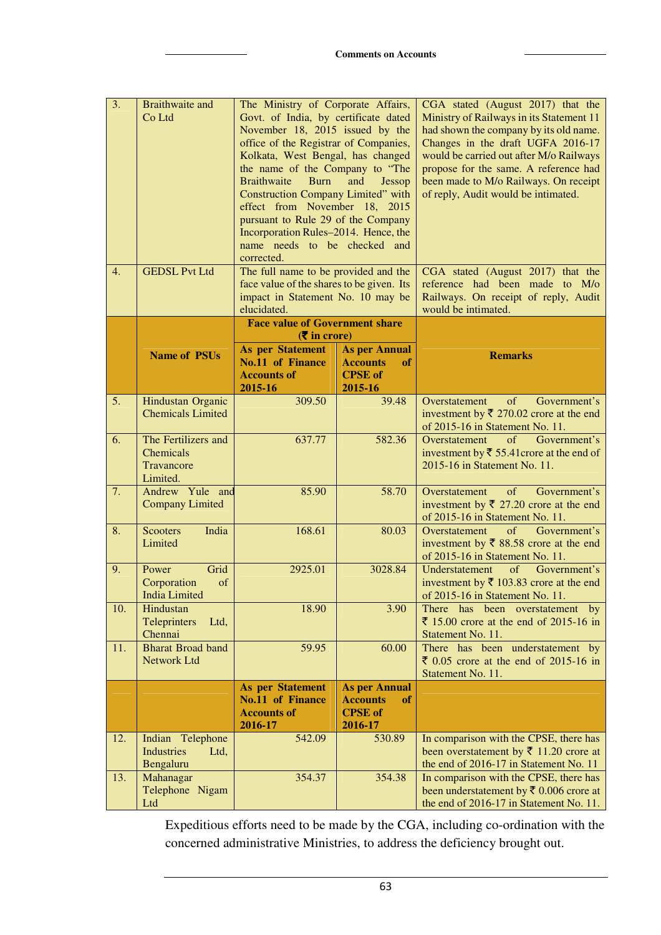| $\overline{3}$ .<br>4. | <b>Braithwaite and</b><br>Co Ltd<br><b>GEDSL Pvt Ltd</b>          | The Ministry of Corporate Affairs,<br>Govt. of India, by certificate dated<br>November 18, 2015 issued by the<br>office of the Registrar of Companies,<br>Kolkata, West Bengal, has changed<br>the name of the Company to "The<br><b>Braithwaite</b><br><b>Burn</b><br><b>Construction Company Limited"</b> with<br>effect from November 18, 2015<br>pursuant to Rule 29 of the Company<br>Incorporation Rules-2014. Hence, the<br>name needs to be checked and<br>corrected.<br>The full name to be provided and the | and<br>Jessop                                                              | CGA stated (August 2017) that the<br>Ministry of Railways in its Statement 11<br>had shown the company by its old name.<br>Changes in the draft UGFA 2016-17<br>would be carried out after M/o Railways<br>propose for the same. A reference had<br>been made to M/o Railways. On receipt<br>of reply, Audit would be intimated.<br>CGA stated (August 2017) that the |
|------------------------|-------------------------------------------------------------------|-----------------------------------------------------------------------------------------------------------------------------------------------------------------------------------------------------------------------------------------------------------------------------------------------------------------------------------------------------------------------------------------------------------------------------------------------------------------------------------------------------------------------|----------------------------------------------------------------------------|-----------------------------------------------------------------------------------------------------------------------------------------------------------------------------------------------------------------------------------------------------------------------------------------------------------------------------------------------------------------------|
|                        |                                                                   | face value of the shares to be given. Its<br>impact in Statement No. 10 may be<br>elucidated.                                                                                                                                                                                                                                                                                                                                                                                                                         |                                                                            | reference had been made to M/o<br>Railways. On receipt of reply, Audit<br>would be intimated.                                                                                                                                                                                                                                                                         |
|                        |                                                                   | <b>Face value of Government share</b><br>$(\overline{\mathbf{\overline{z}}}$ in crore)                                                                                                                                                                                                                                                                                                                                                                                                                                |                                                                            |                                                                                                                                                                                                                                                                                                                                                                       |
|                        | <b>Name of PSUs</b>                                               | <b>As per Statement</b><br><b>No.11 of Finance</b><br><b>Accounts of</b><br>2015-16                                                                                                                                                                                                                                                                                                                                                                                                                                   | <b>As per Annual</b><br><b>Accounts</b><br>of<br><b>CPSE</b> of<br>2015-16 | <b>Remarks</b>                                                                                                                                                                                                                                                                                                                                                        |
| 5.                     | Hindustan Organic<br><b>Chemicals Limited</b>                     | 309.50                                                                                                                                                                                                                                                                                                                                                                                                                                                                                                                | 39.48                                                                      | of<br>Government's<br>Overstatement<br>investment by $\overline{\xi}$ 270.02 crore at the end<br>of 2015-16 in Statement No. 11.                                                                                                                                                                                                                                      |
| 6.                     | The Fertilizers and<br><b>Chemicals</b><br>Travancore<br>Limited. | 637.77                                                                                                                                                                                                                                                                                                                                                                                                                                                                                                                | 582.36                                                                     | of<br>Government's<br>Overstatement<br>investment by $\overline{\xi}$ 55.41 crore at the end of<br>2015-16 in Statement No. 11.                                                                                                                                                                                                                                       |
| 7.                     | Andrew Yule and<br><b>Company Limited</b>                         | 85.90                                                                                                                                                                                                                                                                                                                                                                                                                                                                                                                 | 58.70                                                                      | Government's<br>of<br>Overstatement<br>investment by $\bar{\xi}$ 27.20 crore at the end<br>of 2015-16 in Statement No. 11.                                                                                                                                                                                                                                            |
| 8.                     | <b>Scooters</b><br>India<br>Limited                               | 168.61                                                                                                                                                                                                                                                                                                                                                                                                                                                                                                                | 80.03                                                                      | Government's<br>Overstatement<br>$\sigma$ f<br>investment by $\overline{\xi}$ 88.58 crore at the end<br>of 2015-16 in Statement No. 11.                                                                                                                                                                                                                               |
| 9.                     | Grid<br>Power<br>Corporation<br>of<br><b>India Limited</b>        | 2925.01                                                                                                                                                                                                                                                                                                                                                                                                                                                                                                               | 3028.84                                                                    | Understatement<br>of Government's<br>investment by $\bar{\tau}$ 103.83 crore at the end<br>of 2015-16 in Statement No. 11.                                                                                                                                                                                                                                            |
| 10.                    | Hindustan<br>Teleprinters<br>Ltd,<br>Chennai                      | 18.90                                                                                                                                                                                                                                                                                                                                                                                                                                                                                                                 | 3.90                                                                       | There has been overstatement by<br>₹ 15.00 crore at the end of 2015-16 in<br>Statement No. 11.                                                                                                                                                                                                                                                                        |
| 11.                    | <b>Bharat Broad band</b><br>Network Ltd                           | 59.95                                                                                                                                                                                                                                                                                                                                                                                                                                                                                                                 | 60.00                                                                      | There has been understatement by<br>$\bar{z}$ 0.05 crore at the end of 2015-16 in<br>Statement No. 11.                                                                                                                                                                                                                                                                |
|                        |                                                                   | <b>As per Statement</b><br>No.11 of Finance<br><b>Accounts of</b><br>2016-17                                                                                                                                                                                                                                                                                                                                                                                                                                          | <b>As per Annual</b><br><b>Accounts</b><br>of<br><b>CPSE</b> of<br>2016-17 |                                                                                                                                                                                                                                                                                                                                                                       |
| 12.                    | Indian Telephone<br><b>Industries</b><br>Ltd,<br>Bengaluru        | 542.09                                                                                                                                                                                                                                                                                                                                                                                                                                                                                                                | 530.89                                                                     | In comparison with the CPSE, there has<br>been overstatement by $\bar{\xi}$ 11.20 crore at<br>the end of 2016-17 in Statement No. 11                                                                                                                                                                                                                                  |
| 13.                    | Mahanagar<br>Telephone Nigam<br>Ltd                               | 354.37                                                                                                                                                                                                                                                                                                                                                                                                                                                                                                                | 354.38                                                                     | In comparison with the CPSE, there has<br>been understatement by $\bar{\tau}$ 0.006 crore at<br>the end of 2016-17 in Statement No. 11.                                                                                                                                                                                                                               |

Expeditious efforts need to be made by the CGA, including co-ordination with the concerned administrative Ministries, to address the deficiency brought out.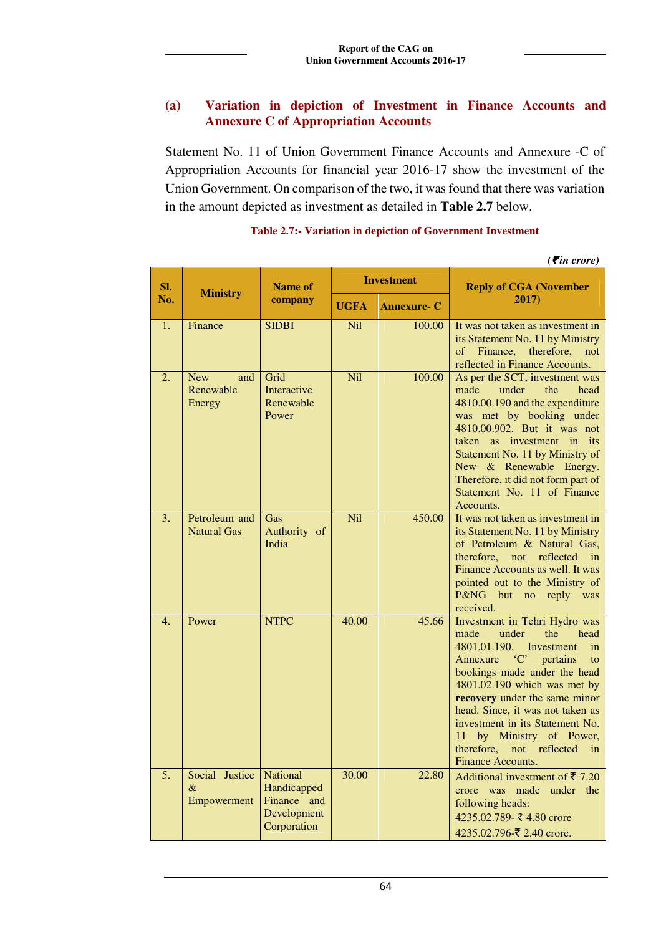# **(a) Variation in depiction of Investment in Finance Accounts and Annexure C of Appropriation Accounts**

Statement No. 11 of Union Government Finance Accounts and Annexure -C of Appropriation Accounts for financial year 2016-17 show the investment of the Union Government. On comparison of the two, it was found that there was variation in the amount depicted as investment as detailed in **Table 2.7** below.

|                  | ( $\bar{\tau}$ in crore)                 |                                                                             |             |                    |                                                                                                                                                                                                                                                                                                                                                                                                         |  |  |
|------------------|------------------------------------------|-----------------------------------------------------------------------------|-------------|--------------------|---------------------------------------------------------------------------------------------------------------------------------------------------------------------------------------------------------------------------------------------------------------------------------------------------------------------------------------------------------------------------------------------------------|--|--|
| SI.              | <b>Ministry</b>                          | <b>Name of</b>                                                              |             | <b>Investment</b>  | <b>Reply of CGA (November</b>                                                                                                                                                                                                                                                                                                                                                                           |  |  |
| No.              |                                          | company                                                                     | <b>UGFA</b> | <b>Annexure- C</b> | 2017)                                                                                                                                                                                                                                                                                                                                                                                                   |  |  |
| 1.               | Finance                                  | <b>SIDBI</b>                                                                | <b>Nil</b>  | 100.00             | It was not taken as investment in<br>its Statement No. 11 by Ministry<br>of Finance,<br>therefore,<br>not<br>reflected in Finance Accounts.                                                                                                                                                                                                                                                             |  |  |
| 2.               | <b>New</b><br>and<br>Renewable<br>Energy | Grid<br>Interactive<br>Renewable<br>Power                                   | Nil         | 100.00             | As per the SCT, investment was<br>the<br>head<br>made<br>under<br>4810.00.190 and the expenditure<br>was met by booking under<br>4810.00.902. But it was not<br>taken as investment in its<br>Statement No. 11 by Ministry of<br>New & Renewable Energy.<br>Therefore, it did not form part of<br>Statement No. 11 of Finance<br>Accounts.                                                              |  |  |
| 3.               | Petroleum and<br><b>Natural Gas</b>      | Gas<br>Authority of<br>India                                                | <b>Nil</b>  | 450.00             | It was not taken as investment in<br>its Statement No. 11 by Ministry<br>of Petroleum & Natural Gas,<br>therefore, not<br>reflected<br>in<br>Finance Accounts as well. It was<br>pointed out to the Ministry of<br>P&NG but no reply was<br>received.                                                                                                                                                   |  |  |
| $\overline{4}$ . | Power                                    | <b>NTPC</b>                                                                 | 40.00       | 45.66              | Investment in Tehri Hydro was<br>under<br>the<br>made<br>head<br>4801.01.190.<br>Investment<br>in<br>'C' pertains<br>Annexure<br>to<br>bookings made under the head<br>4801.02.190 which was met by<br>recovery under the same minor<br>head. Since, it was not taken as<br>investment in its Statement No.<br>by Ministry of Power,<br>11<br>therefore,<br>not<br>reflected<br>in<br>Finance Accounts. |  |  |
| 5.               | Social Justice<br>$\&$<br>Empowerment    | <b>National</b><br>Handicapped<br>Finance and<br>Development<br>Corporation | 30.00       | 22.80              | Additional investment of $\bar{\tau}$ 7.20<br>crore was made under<br>the<br>following heads:<br>4235.02.789-₹4.80 crore<br>4235.02.796-₹ 2.40 crore.                                                                                                                                                                                                                                                   |  |  |

#### **Table 2.7:- Variation in depiction of Government Investment**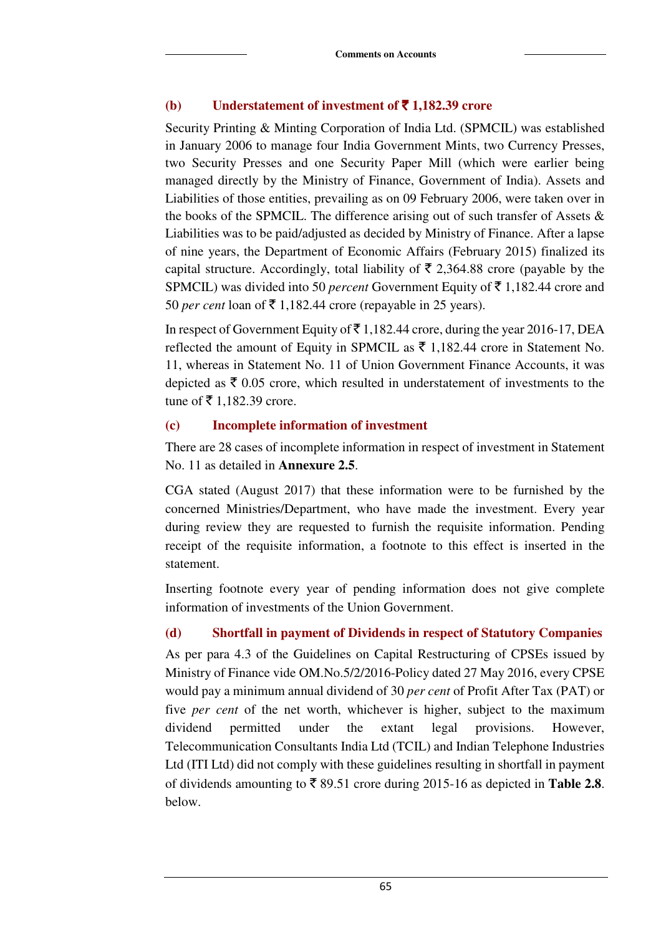#### **(b) Understatement of investment of**  $\bar{\mathbf{z}}$  **1,182.39 crore**

Security Printing & Minting Corporation of India Ltd. (SPMCIL) was established in January 2006 to manage four India Government Mints, two Currency Presses, two Security Presses and one Security Paper Mill (which were earlier being managed directly by the Ministry of Finance, Government of India). Assets and Liabilities of those entities, prevailing as on 09 February 2006, were taken over in the books of the SPMCIL. The difference arising out of such transfer of Assets & Liabilities was to be paid/adjusted as decided by Ministry of Finance. After a lapse of nine years, the Department of Economic Affairs (February 2015) finalized its capital structure. Accordingly, total liability of  $\bar{\tau}$  2,364.88 crore (payable by the SPMCIL) was divided into 50 *percent* Government Equity of  $\bar{\tau}$  1,182.44 crore and 50 *per cent* loan of  $\bar{\tau}$  1,182.44 crore (repayable in 25 years).

In respect of Government Equity of  $\bar{\tau}$  1,182.44 crore, during the year 2016-17, DEA reflected the amount of Equity in SPMCIL as  $\bar{\tau}$  1,182.44 crore in Statement No. 11, whereas in Statement No. 11 of Union Government Finance Accounts, it was depicted as  $\bar{\xi}$  0.05 crore, which resulted in understatement of investments to the tune of  $\bar{z}$  1,182.39 crore.

### **(c) Incomplete information of investment**

There are 28 cases of incomplete information in respect of investment in Statement No. 11 as detailed in **Annexure 2.5**.

CGA stated (August 2017) that these information were to be furnished by the concerned Ministries/Department, who have made the investment. Every year during review they are requested to furnish the requisite information. Pending receipt of the requisite information, a footnote to this effect is inserted in the statement.

Inserting footnote every year of pending information does not give complete information of investments of the Union Government.

# **(d) Shortfall in payment of Dividends in respect of Statutory Companies**

As per para 4.3 of the Guidelines on Capital Restructuring of CPSEs issued by Ministry of Finance vide OM.No.5/2/2016-Policy dated 27 May 2016, every CPSE would pay a minimum annual dividend of 30 *per cent* of Profit After Tax (PAT) or five *per cent* of the net worth, whichever is higher, subject to the maximum dividend permitted under the extant legal provisions. However, Telecommunication Consultants India Ltd (TCIL) and Indian Telephone Industries Ltd (ITI Ltd) did not comply with these guidelines resulting in shortfall in payment of dividends amounting to  $\bar{\tau}$  89.51 crore during 2015-16 as depicted in **Table 2.8**. below.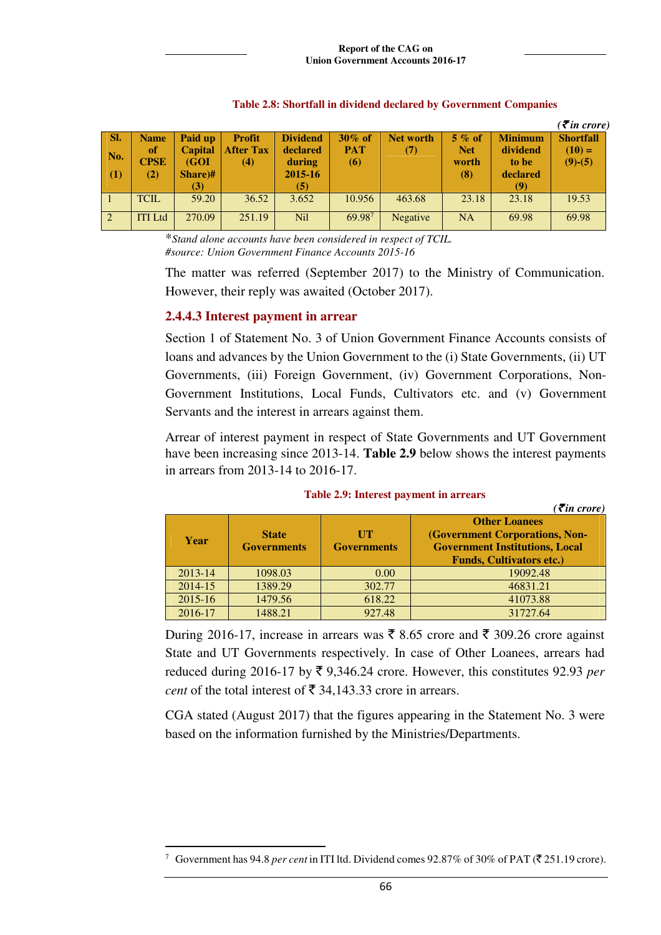|                 |                   |                        |                         |                    |                          |                 |                     |                   | $( \bar{\mathbf{z}}$ in crore) |
|-----------------|-------------------|------------------------|-------------------------|--------------------|--------------------------|-----------------|---------------------|-------------------|--------------------------------|
| SI.             | <b>Name</b>       | Paid up                | <b>Profit</b>           | <b>Dividend</b>    | $30\%$ of                | Net worth       | $5\%$ of            | <b>Minimum</b>    | <b>Shortfall</b>               |
| No.             | of<br><b>CPSE</b> | <b>Capital</b><br>(GOI | <b>After Tax</b><br>(4) | declared<br>during | <b>PAT</b><br><b>(6)</b> | (7)             | <b>Net</b><br>worth | dividend<br>to be | $(10) =$<br>$(9)-(5)$          |
| $\vert$ (1)     | (2)               | Share)#<br>(3)         |                         | 2015-16<br>(5)     |                          |                 | (8)                 | declared<br>(9)   |                                |
| $\vert$ 1       | <b>TCIL</b>       | 59.20                  | 36.52                   | 3.652              | 10.956                   | 463.68          | 23.18               | 23.18             | 19.53                          |
| $\vert 2 \vert$ | <b>ITI</b> Ltd    | 270.09                 | 251.19                  | <b>Nil</b>         | 69.987                   | <b>Negative</b> | <b>NA</b>           | 69.98             | 69.98                          |

#### **Table 2.8: Shortfall in dividend declared by Government Companies**

\**Stand alone accounts have been considered in respect of TCIL. #source: Union Government Finance Accounts 2015-16*

The matter was referred (September 2017) to the Ministry of Communication. However, their reply was awaited (October 2017).

#### **2.4.4.3 Interest payment in arrear**

Section 1 of Statement No. 3 of Union Government Finance Accounts consists of loans and advances by the Union Government to the (i) State Governments, (ii) UT Governments, (iii) Foreign Government, (iv) Government Corporations, Non-Government Institutions, Local Funds, Cultivators etc. and (v) Government Servants and the interest in arrears against them.

Arrear of interest payment in respect of State Governments and UT Government have been increasing since 2013-14. **Table 2.9** below shows the interest payments in arrears from 2013-14 to 2016-17.

|             |                    |                    | $\overline{\mathcal{E}}$ in crore)    |
|-------------|--------------------|--------------------|---------------------------------------|
|             |                    |                    | <b>Other Loanees</b>                  |
| Year        | <b>State</b>       | <b>TIT</b>         | <b>(Government Corporations, Non-</b> |
|             | <b>Governments</b> | <b>Governments</b> | <b>Government Institutions, Local</b> |
|             |                    |                    | <b>Funds, Cultivators etc.)</b>       |
| $2013 - 14$ | 1098.03            | 0.00               | 19092.48                              |
| 2014-15     | 1389.29            | 302.77             | 46831.21                              |
| $2015 - 16$ | 1479.56            | 618.22             | 41073.88                              |
| 2016-17     | 1488.21            | 927.48             | 31727.64                              |

#### **Table 2.9: Interest payment in arrears**

During 2016-17, increase in arrears was  $\bar{\xi}$  8.65 crore and  $\bar{\xi}$  309.26 crore against State and UT Governments respectively. In case of Other Loanees, arrears had reduced during 2016-17 by  $\bar{\xi}$  9,346.24 crore. However, this constitutes 92.93 *per cent* of the total interest of  $\bar{\mathfrak{F}}$  34,143.33 crore in arrears.

CGA stated (August 2017) that the figures appearing in the Statement No. 3 were based on the information furnished by the Ministries/Departments.

 $\overline{a}$ <sup>7</sup> Government has 94.8 *per cent* in ITI ltd. Dividend comes 92.87% of 30% of PAT ( $\bar{\tau}$  251.19 crore).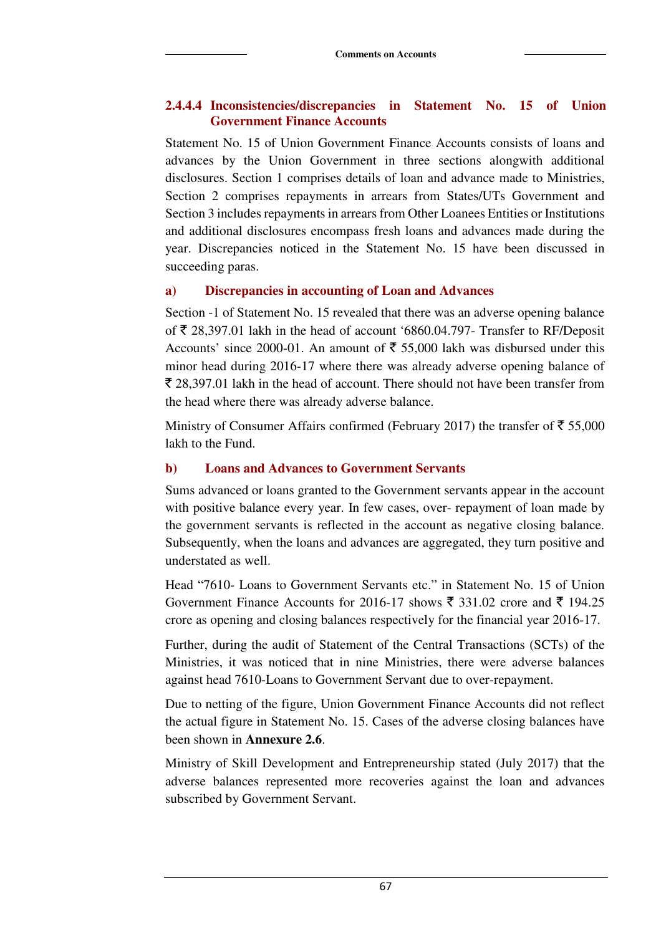#### **2.4.4.4 Inconsistencies/discrepancies in Statement No. 15 of Union Government Finance Accounts**

Statement No. 15 of Union Government Finance Accounts consists of loans and advances by the Union Government in three sections alongwith additional disclosures. Section 1 comprises details of loan and advance made to Ministries, Section 2 comprises repayments in arrears from States/UTs Government and Section 3 includes repayments in arrears from Other Loanees Entities or Institutions and additional disclosures encompass fresh loans and advances made during the year. Discrepancies noticed in the Statement No. 15 have been discussed in succeeding paras.

#### **a) Discrepancies in accounting of Loan and Advances**

Section -1 of Statement No. 15 revealed that there was an adverse opening balance of  $\bar{\tau}$  28,397.01 lakh in the head of account '6860.04.797- Transfer to RF/Deposit Accounts' since 2000-01. An amount of  $\overline{5}$  55,000 lakh was disbursed under this minor head during 2016-17 where there was already adverse opening balance of  $\bar{\xi}$  28,397.01 lakh in the head of account. There should not have been transfer from the head where there was already adverse balance.

Ministry of Consumer Affairs confirmed (February 2017) the transfer of  $\bar{\tau}$  55,000 lakh to the Fund.

#### **b) Loans and Advances to Government Servants**

Sums advanced or loans granted to the Government servants appear in the account with positive balance every year. In few cases, over- repayment of loan made by the government servants is reflected in the account as negative closing balance. Subsequently, when the loans and advances are aggregated, they turn positive and understated as well.

Head "7610- Loans to Government Servants etc." in Statement No. 15 of Union Government Finance Accounts for 2016-17 shows  $\bar{\xi}$  331.02 crore and  $\bar{\xi}$  194.25 crore as opening and closing balances respectively for the financial year 2016-17.

Further, during the audit of Statement of the Central Transactions (SCTs) of the Ministries, it was noticed that in nine Ministries, there were adverse balances against head 7610-Loans to Government Servant due to over-repayment.

Due to netting of the figure, Union Government Finance Accounts did not reflect the actual figure in Statement No. 15. Cases of the adverse closing balances have been shown in **Annexure 2.6**.

Ministry of Skill Development and Entrepreneurship stated (July 2017) that the adverse balances represented more recoveries against the loan and advances subscribed by Government Servant.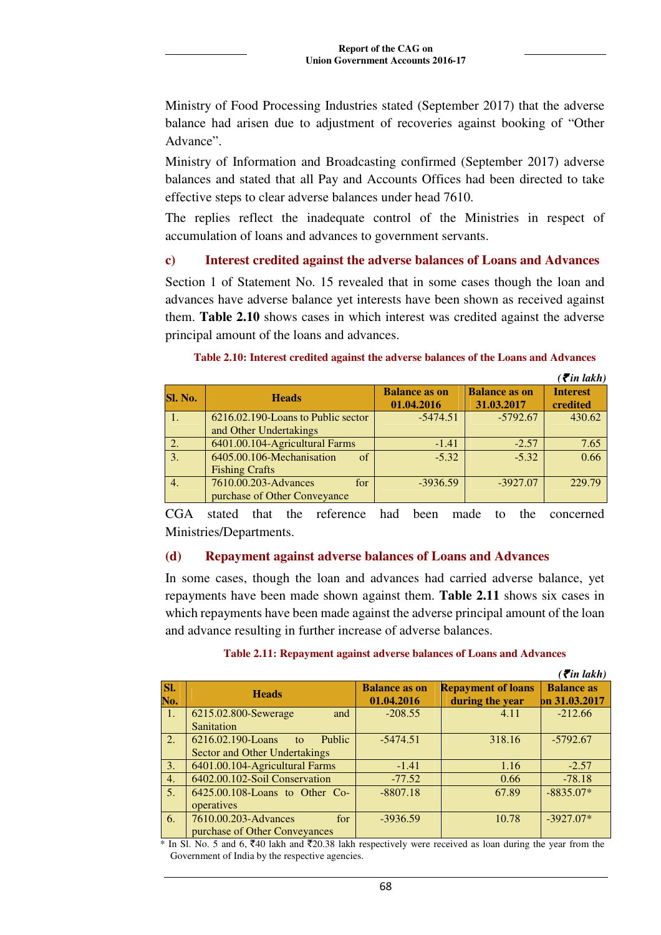Ministry of Food Processing Industries stated (September 2017) that the adverse balance had arisen due to adjustment of recoveries against booking of "Other Advance".

Ministry of Information and Broadcasting confirmed (September 2017) adverse balances and stated that all Pay and Accounts Offices had been directed to take effective steps to clear adverse balances under head 7610.

The replies reflect the inadequate control of the Ministries in respect of accumulation of loans and advances to government servants.

#### **c) Interest credited against the adverse balances of Loans and Advances**

Section 1 of Statement No. 15 revealed that in some cases though the loan and advances have adverse balance yet interests have been shown as received against them. **Table 2.10** shows cases in which interest was credited against the adverse principal amount of the loans and advances.

#### **Table 2.10: Interest credited against the adverse balances of the Loans and Advances**

|                  |                                                                  |                                    |                                    | $\left( \xi_{in} \text{ lakh} \right)$ |
|------------------|------------------------------------------------------------------|------------------------------------|------------------------------------|----------------------------------------|
| Sl. No.          | <b>Heads</b>                                                     | <b>Balance as on</b><br>01.04.2016 | <b>Balance as on</b><br>31.03.2017 | <b>Interest</b><br>credited            |
|                  | 6216.02.190-Loans to Public sector<br>and Other Undertakings     | $-5474.51$                         | $-5792.67$                         | 430.62                                 |
| $\overline{2}$ . | 6401.00.104-Agricultural Farms                                   | $-1.41$                            | $-2.57$                            | 7.65                                   |
| $\overline{3}$ . | 6405.00.106-Mechanisation<br>$\sigma$ f<br><b>Fishing Crafts</b> | $-5.32$                            | $-5.32$                            | 0.66                                   |
| $\overline{4}$ . | 7610.00.203-Advances<br>for<br>purchase of Other Conveyance      | $-3936.59$                         | $-3927.07$                         | 229.79                                 |

CGA stated that the reference had been made to the concerned Ministries/Departments.

#### **(d) Repayment against adverse balances of Loans and Advances**

In some cases, though the loan and advances had carried adverse balance, yet repayments have been made shown against them. **Table 2.11** shows six cases in which repayments have been made against the adverse principal amount of the loan and advance resulting in further increase of adverse balances.

|                |                                                                    |                                    |                                              | $($ ₹in lakh $)$                   |
|----------------|--------------------------------------------------------------------|------------------------------------|----------------------------------------------|------------------------------------|
| SI.<br>No.     | <b>Heads</b>                                                       | <b>Balance as on</b><br>01.04.2016 | <b>Repayment of loans</b><br>during the year | <b>Balance as</b><br>pn 31.03.2017 |
| $\pm$          | 6215.02.800-Sewerage<br>and<br>Sanitation                          | $-208.55$                          | 4.11                                         | $-212.66$                          |
| 2.             | 6216.02.190-Loans<br>Public<br>to<br>Sector and Other Undertakings | $-5474.51$                         | 318.16                                       | $-5792.67$                         |
| 3.             | 6401.00.104-Agricultural Farms                                     | $-1.41$                            | 1.16                                         | $-2.57$                            |
| 4.             | 6402.00.102-Soil Conservation                                      | $-77.52$                           | 0.66                                         | $-78.18$                           |
| 5 <sub>1</sub> | $6425.00.108$ -Loans to Other Co-<br>operatives                    | $-8807.18$                         | 67.89                                        | $-8835.07*$                        |
| 6.             | 7610.00.203-Advances<br>for<br>purchase of Other Conveyances       | $-3936.59$                         | 10.78                                        | $-3927.07*$                        |

#### **Table 2.11: Repayment against adverse balances of Loans and Advances**

 $*$  In Sl. No. 5 and 6,  $\overline{\xi}40$  lakh and  $\overline{\xi}20.38$  lakh respectively were received as loan during the year from the Government of India by the respective agencies.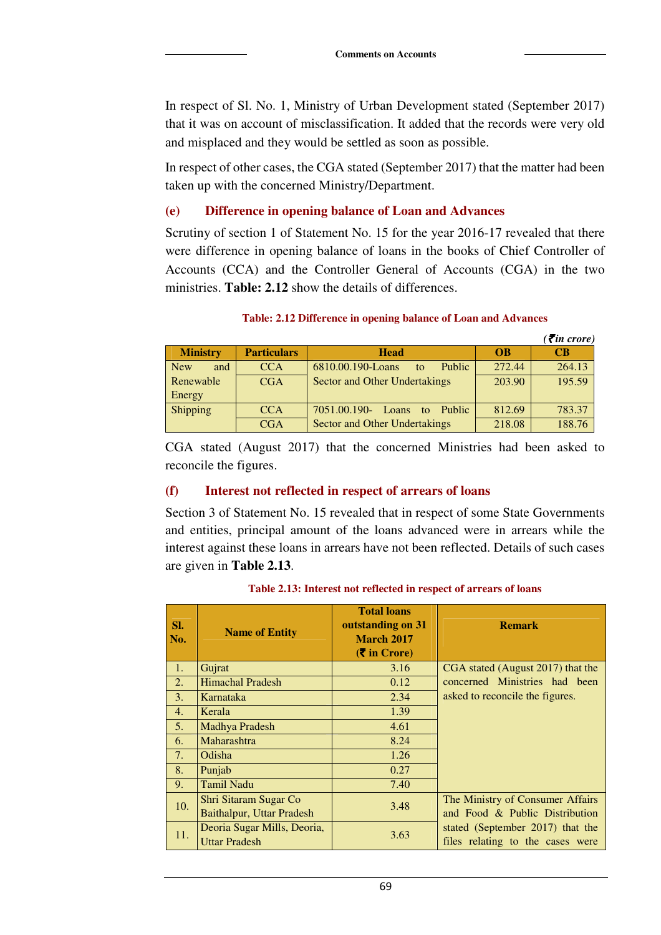In respect of Sl. No. 1, Ministry of Urban Development stated (September 2017) that it was on account of misclassification. It added that the records were very old and misplaced and they would be settled as soon as possible.

In respect of other cases, the CGA stated (September 2017) that the matter had been taken up with the concerned Ministry/Department.

#### **(e) Difference in opening balance of Loan and Advances**

Scrutiny of section 1 of Statement No. 15 for the year 2016-17 revealed that there were difference in opening balance of loans in the books of Chief Controller of Accounts (CCA) and the Controller General of Accounts (CGA) in the two ministries. **Table: 2.12** show the details of differences.

|                   |                    |                                          |           | $($ ₹in crore) |
|-------------------|--------------------|------------------------------------------|-----------|----------------|
| <b>Ministry</b>   | <b>Particulars</b> | <b>Head</b>                              | <b>OB</b> | <b>CB</b>      |
| <b>New</b><br>and | <b>CCA</b>         | 6810.00.190-Loans<br><b>Public</b><br>to | 272.44    | 264.13         |
| Renewable         | <b>CGA</b>         | Sector and Other Undertakings            | 203.90    | 195.59         |
| Energy            |                    |                                          |           |                |
| Shipping          | <b>CCA</b>         | 7051.00.190-<br>Public<br>Loans<br>to.   | 812.69    | 783.37         |
|                   | CGA                | <b>Sector and Other Undertakings</b>     | 218.08    | 188.76         |

#### **Table: 2.12 Difference in opening balance of Loan and Advances**

CGA stated (August 2017) that the concerned Ministries had been asked to reconcile the figures.

#### **(f) Interest not reflected in respect of arrears of loans**

Section 3 of Statement No. 15 revealed that in respect of some State Governments and entities, principal amount of the loans advanced were in arrears while the interest against these loans in arrears have not been reflected. Details of such cases are given in **Table 2.13**.

| SI.<br>No.     | <b>Name of Entity</b>                               | <b>Total loans</b><br>outstanding on 31<br><b>March 2017</b><br>$(\bar{\bar{\mathbf{z}}}$ in Crore) | <b>Remark</b>                                                        |
|----------------|-----------------------------------------------------|-----------------------------------------------------------------------------------------------------|----------------------------------------------------------------------|
| 1.             | Gujrat                                              | 3.16                                                                                                | CGA stated (August 2017) that the                                    |
| 2.             | <b>Himachal Pradesh</b>                             | 0.12                                                                                                | concerned Ministries had been                                        |
| 3.             | Karnataka                                           | 2.34                                                                                                | asked to reconcile the figures.                                      |
| 4.             | Kerala                                              | 1.39                                                                                                |                                                                      |
| 5 <sub>1</sub> | Madhya Pradesh                                      | 4.61                                                                                                |                                                                      |
| 6.             | Maharashtra                                         | 8.24                                                                                                |                                                                      |
| 7.             | Odisha                                              | 1.26                                                                                                |                                                                      |
| 8.             | Punjab                                              | 0.27                                                                                                |                                                                      |
| 9.             | <b>Tamil Nadu</b>                                   | 7.40                                                                                                |                                                                      |
| 10.            | Shri Sitaram Sugar Co                               | 3.48                                                                                                | The Ministry of Consumer Affairs                                     |
|                | <b>Baithalpur, Uttar Pradesh</b>                    |                                                                                                     | and Food & Public Distribution                                       |
| 11.            | Deoria Sugar Mills, Deoria,<br><b>Uttar Pradesh</b> | 3.63                                                                                                | stated (September 2017) that the<br>files relating to the cases were |
|                |                                                     |                                                                                                     |                                                                      |

#### **Table 2.13: Interest not reflected in respect of arrears of loans**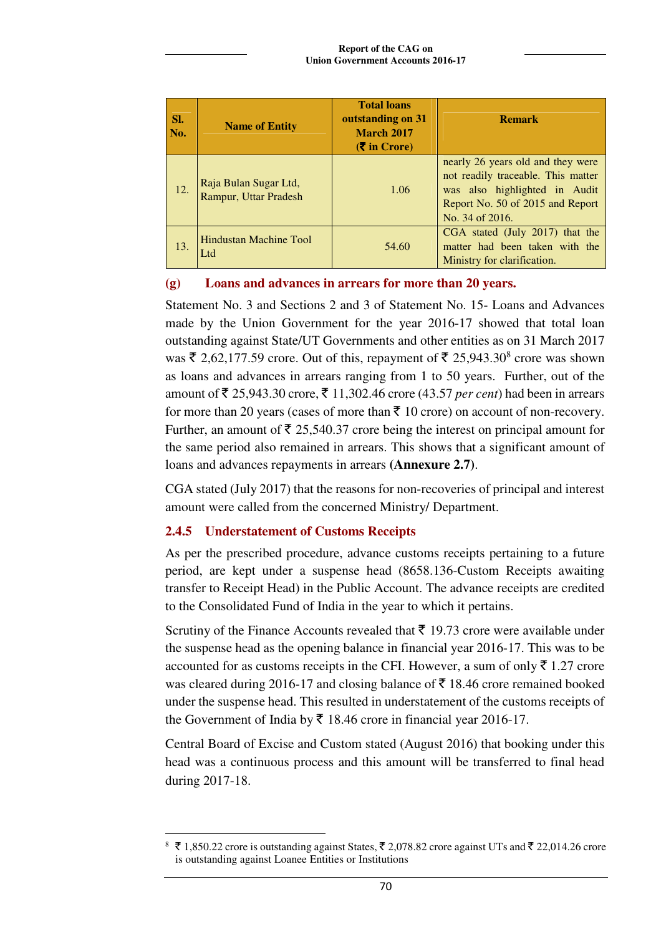| SI.<br>No. | <b>Name of Entity</b>                          | <b>Total loans</b><br>outstanding on 31<br><b>March 2017</b><br>$(\bar{\bar{\mathbf{\mathsf{z}}}})$ in Crore) | <b>Remark</b>                                                                                                                                                   |
|------------|------------------------------------------------|---------------------------------------------------------------------------------------------------------------|-----------------------------------------------------------------------------------------------------------------------------------------------------------------|
| 12.        | Raja Bulan Sugar Ltd,<br>Rampur, Uttar Pradesh | 1.06                                                                                                          | nearly 26 years old and they were<br>not readily traceable. This matter<br>was also highlighted in Audit<br>Report No. 50 of 2015 and Report<br>No. 34 of 2016. |
| 13.        | Hindustan Machine Tool<br>Ltd                  | 54.60                                                                                                         | CGA stated (July 2017) that the<br>matter had been taken with the<br>Ministry for clarification.                                                                |

### **(g) Loans and advances in arrears for more than 20 years.**

Statement No. 3 and Sections 2 and 3 of Statement No. 15- Loans and Advances made by the Union Government for the year 2016-17 showed that total loan outstanding against State/UT Governments and other entities as on 31 March 2017 was  $\bar{\xi}$  2,62,177.59 crore. Out of this, repayment of  $\bar{\xi}$  25,943.30<sup>8</sup> crore was shown as loans and advances in arrears ranging from 1 to 50 years. Further, out of the amount of  $\bar{\xi}$  25,943.30 crore,  $\bar{\xi}$  11,302.46 crore (43.57 *per cent*) had been in arrears for more than 20 years (cases of more than  $\bar{\tau}$  10 crore) on account of non-recovery. Further, an amount of  $\bar{\tau}$  25,540.37 crore being the interest on principal amount for the same period also remained in arrears. This shows that a significant amount of loans and advances repayments in arrears **(Annexure 2.7)**.

CGA stated (July 2017) that the reasons for non-recoveries of principal and interest amount were called from the concerned Ministry/ Department.

# **2.4.5 Understatement of Customs Receipts**

As per the prescribed procedure, advance customs receipts pertaining to a future period, are kept under a suspense head (8658.136-Custom Receipts awaiting transfer to Receipt Head) in the Public Account. The advance receipts are credited to the Consolidated Fund of India in the year to which it pertains.

Scrutiny of the Finance Accounts revealed that  $\bar{\tau}$  19.73 crore were available under the suspense head as the opening balance in financial year 2016-17. This was to be accounted for as customs receipts in the CFI. However, a sum of only  $\bar{\tau}$  1.27 crore was cleared during 2016-17 and closing balance of  $\bar{\mathfrak{c}}$  18.46 crore remained booked under the suspense head. This resulted in understatement of the customs receipts of the Government of India by  $\bar{\tau}$  18.46 crore in financial year 2016-17.

Central Board of Excise and Custom stated (August 2016) that booking under this head was a continuous process and this amount will be transferred to final head during 2017-18.

 $\overline{a}$  $8 \text{ ₹ } 1,850.22$  crore is outstanding against States, ₹ 2,078.82 crore against UTs and ₹ 22,014.26 crore is outstanding against Loanee Entities or Institutions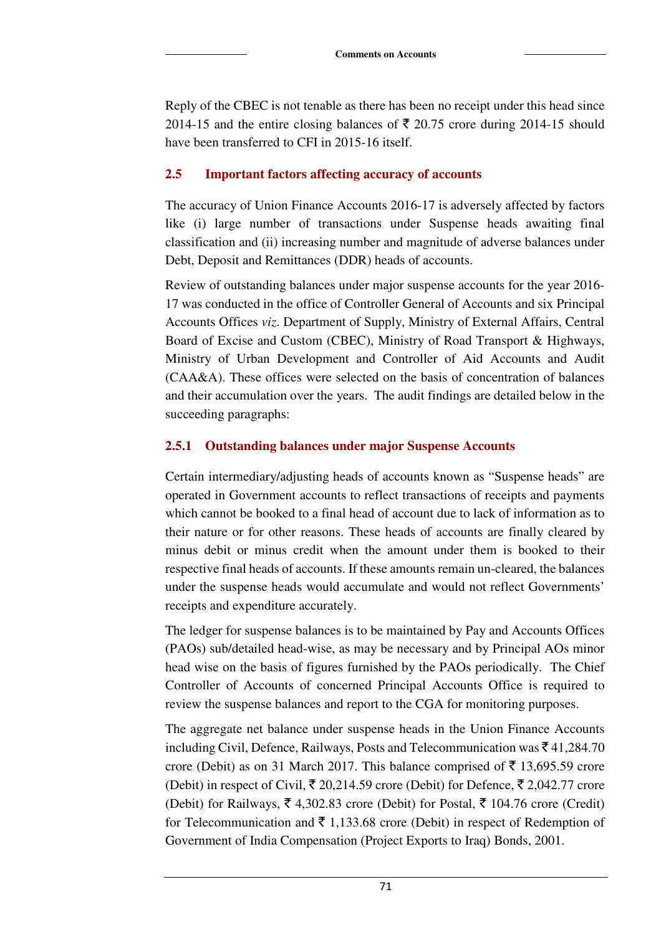Reply of the CBEC is not tenable as there has been no receipt under this head since 2014-15 and the entire closing balances of  $\bar{\tau}$  20.75 crore during 2014-15 should have been transferred to CFI in 2015-16 itself.

### **2.5 Important factors affecting accuracy of accounts**

The accuracy of Union Finance Accounts 2016-17 is adversely affected by factors like (i) large number of transactions under Suspense heads awaiting final classification and (ii) increasing number and magnitude of adverse balances under Debt, Deposit and Remittances (DDR) heads of accounts.

Review of outstanding balances under major suspense accounts for the year 2016- 17 was conducted in the office of Controller General of Accounts and six Principal Accounts Offices *viz*. Department of Supply, Ministry of External Affairs, Central Board of Excise and Custom (CBEC), Ministry of Road Transport & Highways, Ministry of Urban Development and Controller of Aid Accounts and Audit (CAA&A). These offices were selected on the basis of concentration of balances and their accumulation over the years. The audit findings are detailed below in the succeeding paragraphs:

# **2.5.1 Outstanding balances under major Suspense Accounts**

Certain intermediary/adjusting heads of accounts known as "Suspense heads" are operated in Government accounts to reflect transactions of receipts and payments which cannot be booked to a final head of account due to lack of information as to their nature or for other reasons. These heads of accounts are finally cleared by minus debit or minus credit when the amount under them is booked to their respective final heads of accounts. If these amounts remain un-cleared, the balances under the suspense heads would accumulate and would not reflect Governments' receipts and expenditure accurately.

The ledger for suspense balances is to be maintained by Pay and Accounts Offices (PAOs) sub/detailed head-wise, as may be necessary and by Principal AOs minor head wise on the basis of figures furnished by the PAOs periodically. The Chief Controller of Accounts of concerned Principal Accounts Office is required to review the suspense balances and report to the CGA for monitoring purposes.

The aggregate net balance under suspense heads in the Union Finance Accounts including Civil, Defence, Railways, Posts and Telecommunication was  $\bar{z}$  41,284.70 crore (Debit) as on 31 March 2017. This balance comprised of  $\bar{\tau}$  13,695.59 crore (Debit) in respect of Civil,  $\bar{\xi}$  20,214.59 crore (Debit) for Defence,  $\bar{\xi}$  2,042.77 crore (Debit) for Railways,  $\bar{\xi}$  4,302.83 crore (Debit) for Postal,  $\bar{\xi}$  104.76 crore (Credit) for Telecommunication and  $\bar{\tau}$  1,133.68 crore (Debit) in respect of Redemption of Government of India Compensation (Project Exports to Iraq) Bonds, 2001.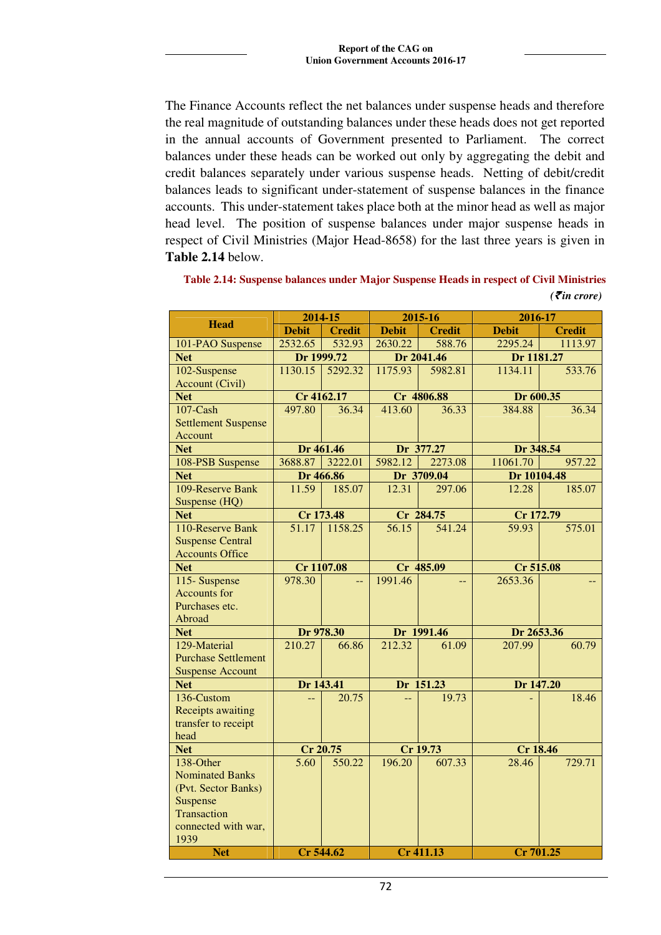The Finance Accounts reflect the net balances under suspense heads and therefore the real magnitude of outstanding balances under these heads does not get reported in the annual accounts of Government presented to Parliament. The correct balances under these heads can be worked out only by aggregating the debit and credit balances separately under various suspense heads. Netting of debit/credit balances leads to significant under-statement of suspense balances in the finance accounts. This under-statement takes place both at the minor head as well as major head level. The position of suspense balances under major suspense heads in respect of Civil Ministries (Major Head-8658) for the last three years is given in **Table 2.14** below.

**Table 2.14: Suspense balances under Major Suspense Heads in respect of Civil Ministries**  *(*` *in crore)* 

|                            | 2014-15      |               | 2015-16      |               | 2016-17         |               |
|----------------------------|--------------|---------------|--------------|---------------|-----------------|---------------|
| <b>Head</b>                | <b>Debit</b> | <b>Credit</b> | <b>Debit</b> | <b>Credit</b> | <b>Debit</b>    | <b>Credit</b> |
| 101-PAO Suspense           | 2532.65      | 532.93        | 2630.22      | 588.76        | 2295.24         | 1113.97       |
| <b>Net</b>                 |              | Dr 1999.72    |              | Dr 2041.46    | Dr 1181.27      |               |
| 102-Suspense               | 1130.15      | 5292.32       | 1175.93      | 5982.81       | 1134.11         | 533.76        |
| <b>Account (Civil)</b>     |              |               |              |               |                 |               |
| <b>Net</b>                 |              | Cr 4162.17    |              | Cr 4806.88    | Dr 600.35       |               |
| $107$ -Cash                | 497.80       | 36.34         | 413.60       | 36.33         | 384.88          | 36.34         |
| <b>Settlement Suspense</b> |              |               |              |               |                 |               |
| Account                    |              |               |              |               |                 |               |
| <b>Net</b>                 |              | Dr 461.46     |              | Dr 377.27     | Dr 348.54       |               |
| 108-PSB Suspense           | 3688.87      | 3222.01       | 5982.12      | 2273.08       | 11061.70        | 957.22        |
| <b>Net</b>                 |              | Dr 466.86     |              | Dr 3709.04    | Dr 10104.48     |               |
| 109-Reserve Bank           | 11.59        | 185.07        | 12.31        | 297.06        | 12.28           | 185.07        |
| Suspense (HQ)              |              |               |              |               |                 |               |
| <b>Net</b>                 |              | Cr 173.48     |              | Cr 284.75     | Cr 172.79       |               |
| 110-Reserve Bank           | 51.17        | 1158.25       | 56.15        | 541.24        | 59.93           | 575.01        |
| <b>Suspense Central</b>    |              |               |              |               |                 |               |
| <b>Accounts Office</b>     |              |               |              |               |                 |               |
| <b>Net</b>                 |              | Cr 1107.08    |              | Cr 485.09     | Cr 515.08       |               |
| 115-Suspense               | 978.30       | $-$           | 1991.46      | $-$           | 2653.36         |               |
| <b>Accounts for</b>        |              |               |              |               |                 |               |
| Purchases etc.             |              |               |              |               |                 |               |
| Abroad                     |              |               |              |               |                 |               |
| <b>Net</b>                 |              | Dr 978.30     |              | Dr 1991.46    | Dr 2653.36      |               |
| 129-Material               | 210.27       | 66.86         | 212.32       | 61.09         | 207.99          | 60.79         |
| <b>Purchase Settlement</b> |              |               |              |               |                 |               |
| <b>Suspense Account</b>    |              |               |              |               |                 |               |
| <b>Net</b>                 | Dr 143.41    |               |              | Dr 151.23     | Dr 147.20       |               |
| 136-Custom                 | $-$          | 20.75         | $-$          | 19.73         |                 | 18.46         |
| <b>Receipts awaiting</b>   |              |               |              |               |                 |               |
| transfer to receipt        |              |               |              |               |                 |               |
| head                       |              |               |              |               |                 |               |
| <b>Net</b>                 |              | Cr 20.75      |              | Cr 19.73      | <b>Cr 18.46</b> |               |
| 138-Other                  | 5.60         | 550.22        | 196.20       | 607.33        | 28.46           | 729.71        |
| <b>Nominated Banks</b>     |              |               |              |               |                 |               |
| (Pvt. Sector Banks)        |              |               |              |               |                 |               |
| Suspense                   |              |               |              |               |                 |               |
| Transaction                |              |               |              |               |                 |               |
| connected with war,        |              |               |              |               |                 |               |
| 1939                       |              |               |              |               |                 |               |
| <b>Net</b>                 |              | Cr 544.62     |              | Cr 411.13     | Cr 701.25       |               |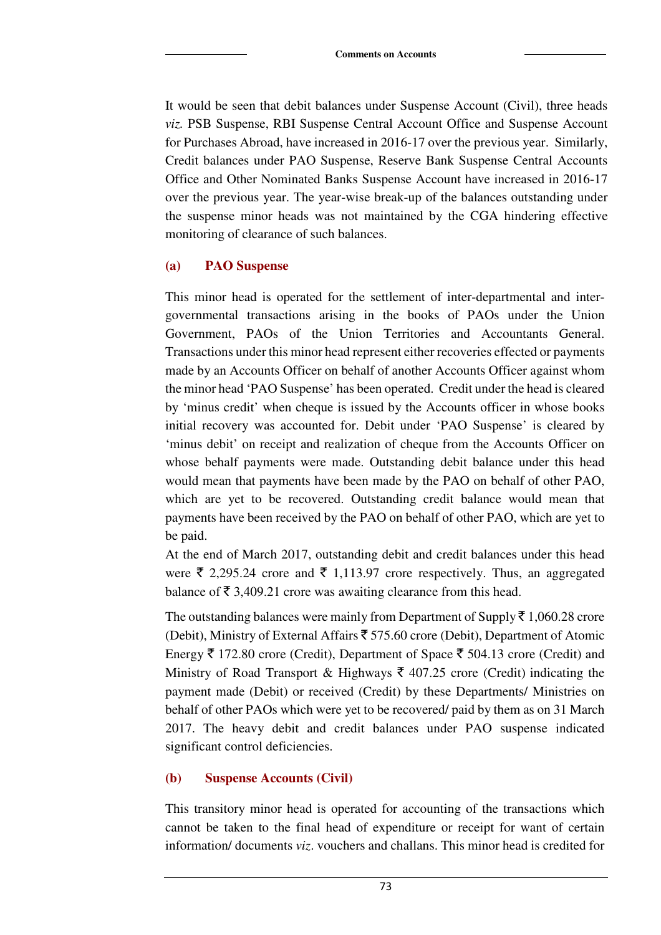It would be seen that debit balances under Suspense Account (Civil), three heads *viz.* PSB Suspense, RBI Suspense Central Account Office and Suspense Account for Purchases Abroad, have increased in 2016-17 over the previous year. Similarly, Credit balances under PAO Suspense, Reserve Bank Suspense Central Accounts Office and Other Nominated Banks Suspense Account have increased in 2016-17 over the previous year. The year-wise break-up of the balances outstanding under the suspense minor heads was not maintained by the CGA hindering effective monitoring of clearance of such balances.

#### **(a) PAO Suspense**

This minor head is operated for the settlement of inter-departmental and intergovernmental transactions arising in the books of PAOs under the Union Government, PAOs of the Union Territories and Accountants General. Transactions under this minor head represent either recoveries effected or payments made by an Accounts Officer on behalf of another Accounts Officer against whom the minor head 'PAO Suspense' has been operated. Credit under the head is cleared by 'minus credit' when cheque is issued by the Accounts officer in whose books initial recovery was accounted for. Debit under 'PAO Suspense' is cleared by 'minus debit' on receipt and realization of cheque from the Accounts Officer on whose behalf payments were made. Outstanding debit balance under this head would mean that payments have been made by the PAO on behalf of other PAO, which are yet to be recovered. Outstanding credit balance would mean that payments have been received by the PAO on behalf of other PAO, which are yet to be paid.

At the end of March 2017, outstanding debit and credit balances under this head were  $\bar{\xi}$  2,295.24 crore and  $\bar{\xi}$  1,113.97 crore respectively. Thus, an aggregated balance of  $\bar{\mathfrak{c}}$  3,409.21 crore was awaiting clearance from this head.

The outstanding balances were mainly from Department of Supply  $\bar{\tau}$  1,060.28 crore (Debit), Ministry of External Affairs  $\bar{z}$  575.60 crore (Debit), Department of Atomic Energy  $\bar{\tau}$  172.80 crore (Credit), Department of Space  $\bar{\tau}$  504.13 crore (Credit) and Ministry of Road Transport & Highways  $\bar{\xi}$  407.25 crore (Credit) indicating the payment made (Debit) or received (Credit) by these Departments/ Ministries on behalf of other PAOs which were yet to be recovered/ paid by them as on 31 March 2017. The heavy debit and credit balances under PAO suspense indicated significant control deficiencies.

# **(b) Suspense Accounts (Civil)**

This transitory minor head is operated for accounting of the transactions which cannot be taken to the final head of expenditure or receipt for want of certain information/ documents *viz*. vouchers and challans. This minor head is credited for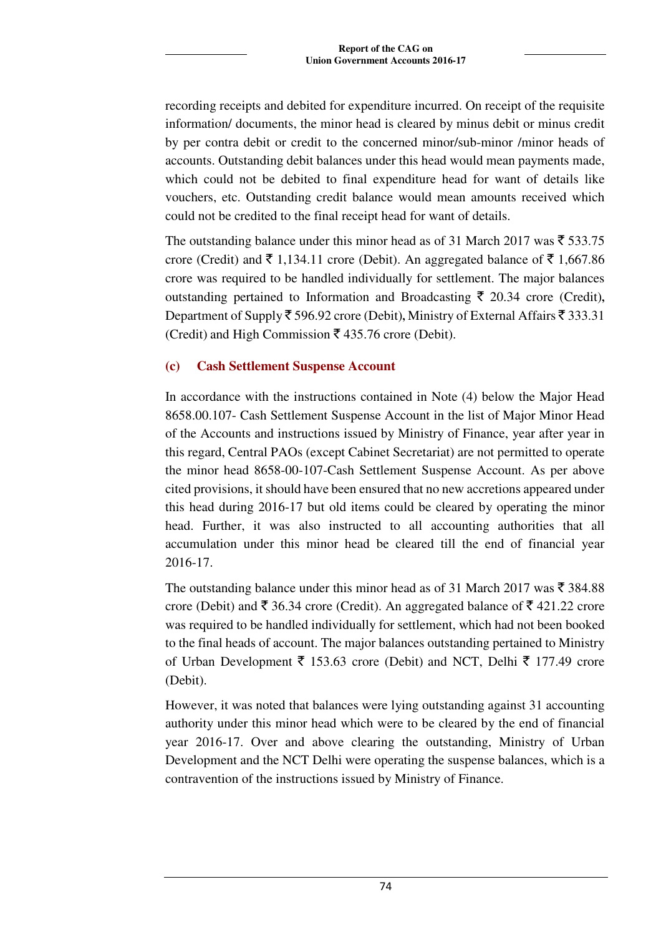recording receipts and debited for expenditure incurred. On receipt of the requisite information/ documents, the minor head is cleared by minus debit or minus credit by per contra debit or credit to the concerned minor/sub-minor /minor heads of accounts. Outstanding debit balances under this head would mean payments made, which could not be debited to final expenditure head for want of details like vouchers, etc. Outstanding credit balance would mean amounts received which could not be credited to the final receipt head for want of details.

The outstanding balance under this minor head as of 31 March 2017 was  $\bar{\xi}$  533.75 crore (Credit) and  $\bar{\xi}$  1,134.11 crore (Debit). An aggregated balance of  $\bar{\xi}$  1,667.86 crore was required to be handled individually for settlement. The major balances outstanding pertained to Information and Broadcasting  $\bar{\tau}$  20.34 crore (Credit), Department of Supply  $\bar{\xi}$  596.92 crore (Debit), Ministry of External Affairs  $\bar{\xi}$  333.31 (Credit) and High Commission  $\bar{\bar{\xi}}$  435.76 crore (Debit).

### **(c) Cash Settlement Suspense Account**

In accordance with the instructions contained in Note (4) below the Major Head 8658.00.107- Cash Settlement Suspense Account in the list of Major Minor Head of the Accounts and instructions issued by Ministry of Finance, year after year in this regard, Central PAOs (except Cabinet Secretariat) are not permitted to operate the minor head 8658-00-107-Cash Settlement Suspense Account. As per above cited provisions, it should have been ensured that no new accretions appeared under this head during 2016-17 but old items could be cleared by operating the minor head. Further, it was also instructed to all accounting authorities that all accumulation under this minor head be cleared till the end of financial year 2016-17.

The outstanding balance under this minor head as of 31 March 2017 was  $\bar{\tau}$  384.88 crore (Debit) and  $\bar{\xi}$  36.34 crore (Credit). An aggregated balance of  $\bar{\xi}$  421.22 crore was required to be handled individually for settlement, which had not been booked to the final heads of account. The major balances outstanding pertained to Ministry of Urban Development  $\bar{\xi}$  153.63 crore (Debit) and NCT, Delhi  $\bar{\xi}$  177.49 crore (Debit).

However, it was noted that balances were lying outstanding against 31 accounting authority under this minor head which were to be cleared by the end of financial year 2016-17. Over and above clearing the outstanding, Ministry of Urban Development and the NCT Delhi were operating the suspense balances, which is a contravention of the instructions issued by Ministry of Finance.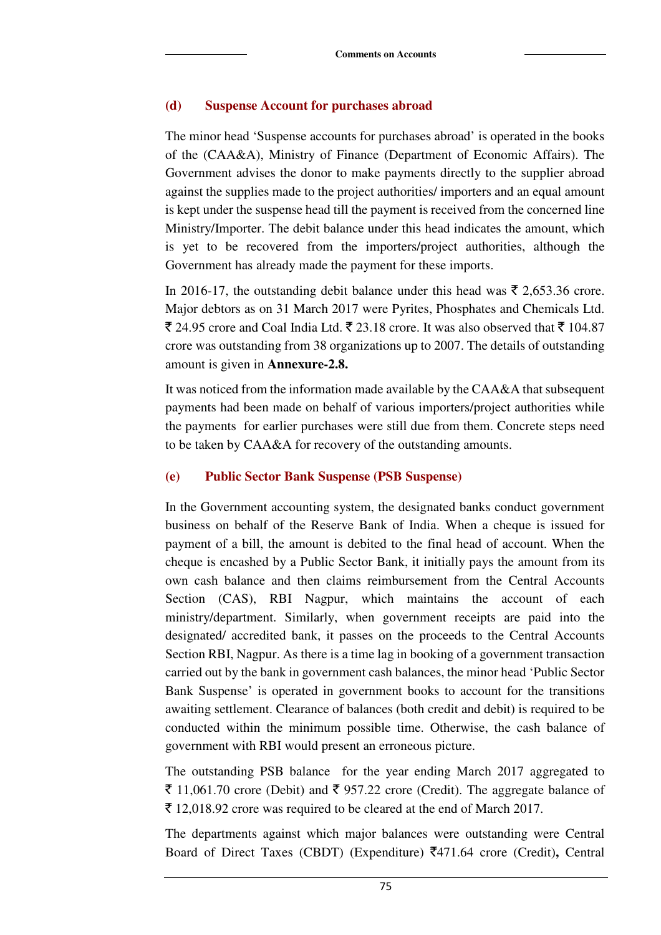#### **(d) Suspense Account for purchases abroad**

The minor head 'Suspense accounts for purchases abroad' is operated in the books of the (CAA&A), Ministry of Finance (Department of Economic Affairs). The Government advises the donor to make payments directly to the supplier abroad against the supplies made to the project authorities/ importers and an equal amount is kept under the suspense head till the payment is received from the concerned line Ministry/Importer. The debit balance under this head indicates the amount, which is yet to be recovered from the importers/project authorities, although the Government has already made the payment for these imports.

In 2016-17, the outstanding debit balance under this head was  $\bar{\tau}$  2,653.36 crore. Major debtors as on 31 March 2017 were Pyrites, Phosphates and Chemicals Ltd.  $\bar{\xi}$  24.95 crore and Coal India Ltd.  $\bar{\xi}$  23.18 crore. It was also observed that  $\bar{\xi}$  104.87 crore was outstanding from 38 organizations up to 2007. The details of outstanding amount is given in **Annexure-2.8.** 

It was noticed from the information made available by the CAA&A that subsequent payments had been made on behalf of various importers/project authorities while the payments for earlier purchases were still due from them. Concrete steps need to be taken by CAA&A for recovery of the outstanding amounts.

#### **(e) Public Sector Bank Suspense (PSB Suspense)**

In the Government accounting system, the designated banks conduct government business on behalf of the Reserve Bank of India. When a cheque is issued for payment of a bill, the amount is debited to the final head of account. When the cheque is encashed by a Public Sector Bank, it initially pays the amount from its own cash balance and then claims reimbursement from the Central Accounts Section (CAS), RBI Nagpur, which maintains the account of each ministry/department. Similarly, when government receipts are paid into the designated/ accredited bank, it passes on the proceeds to the Central Accounts Section RBI, Nagpur. As there is a time lag in booking of a government transaction carried out by the bank in government cash balances, the minor head 'Public Sector Bank Suspense' is operated in government books to account for the transitions awaiting settlement. Clearance of balances (both credit and debit) is required to be conducted within the minimum possible time. Otherwise, the cash balance of government with RBI would present an erroneous picture.

The outstanding PSB balance for the year ending March 2017 aggregated to  $\bar{\xi}$  11,061.70 crore (Debit) and  $\bar{\xi}$  957.22 crore (Credit). The aggregate balance of  $\bar{\tau}$  12,018.92 crore was required to be cleared at the end of March 2017.

The departments against which major balances were outstanding were Central Board of Direct Taxes (CBDT) (Expenditure) `471.64 crore (Credit)**,** Central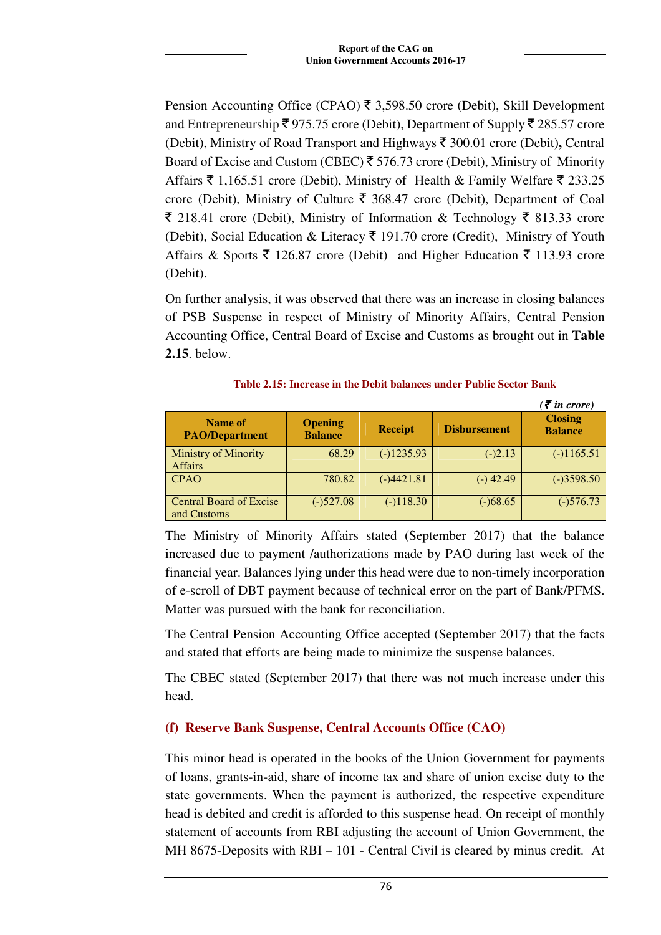Pension Accounting Office (CPAO)  $\bar{\tau}$  3,598.50 crore (Debit), Skill Development and Entrepreneurship  $\bar{\xi}$  975.75 crore (Debit), Department of Supply  $\bar{\xi}$  285.57 crore (Debit), Ministry of Road Transport and Highways  $\bar{\tau}$  300.01 crore (Debit), Central Board of Excise and Custom (CBEC)  $\bar{\xi}$  576.73 crore (Debit), Ministry of Minority Affairs  $\bar{\tau}$  1,165.51 crore (Debit), Ministry of Health & Family Welfare  $\bar{\tau}$  233.25 crore (Debit), Ministry of Culture  $\bar{\tau}$  368.47 crore (Debit), Department of Coal  $\bar{\xi}$  218.41 crore (Debit), Ministry of Information & Technology  $\bar{\xi}$  813.33 crore (Debit), Social Education & Literacy  $\bar{\xi}$  191.70 crore (Credit), Ministry of Youth Affairs & Sports  $\bar{\xi}$  126.87 crore (Debit) and Higher Education  $\bar{\xi}$  113.93 crore (Debit).

On further analysis, it was observed that there was an increase in closing balances of PSB Suspense in respect of Ministry of Minority Affairs, Central Pension Accounting Office, Central Board of Excise and Customs as brought out in **Table 2.15**. below.

|                                               |                                  |                |                     | $(\bar{\bar{\mathbf{z}}}$ in crore) |
|-----------------------------------------------|----------------------------------|----------------|---------------------|-------------------------------------|
| Name of<br><b>PAO/Department</b>              | <b>Opening</b><br><b>Balance</b> | <b>Receipt</b> | <b>Disbursement</b> | <b>Closing</b><br><b>Balance</b>    |
| <b>Ministry of Minority</b><br><b>Affairs</b> | 68.29                            | $(-)1235.93$   | $(-)2.13$           | $(-)1165.51$                        |
| <b>CPAO</b>                                   | 780.82                           | $(-)4421.81$   | $(-)$ 42.49         | $(-)3598.50$                        |
| <b>Central Board of Excise</b><br>and Customs | $(-)527.08$                      | $(-)118.30$    | $(-)68.65$          | $(-)576.73$                         |

**Table 2.15: Increase in the Debit balances under Public Sector Bank**

The Ministry of Minority Affairs stated (September 2017) that the balance increased due to payment /authorizations made by PAO during last week of the financial year. Balances lying under this head were due to non-timely incorporation of e-scroll of DBT payment because of technical error on the part of Bank/PFMS. Matter was pursued with the bank for reconciliation.

The Central Pension Accounting Office accepted (September 2017) that the facts and stated that efforts are being made to minimize the suspense balances.

The CBEC stated (September 2017) that there was not much increase under this head.

# **(f) Reserve Bank Suspense, Central Accounts Office (CAO)**

This minor head is operated in the books of the Union Government for payments of loans, grants-in-aid, share of income tax and share of union excise duty to the state governments. When the payment is authorized, the respective expenditure head is debited and credit is afforded to this suspense head. On receipt of monthly statement of accounts from RBI adjusting the account of Union Government, the MH 8675-Deposits with RBI – 101 - Central Civil is cleared by minus credit. At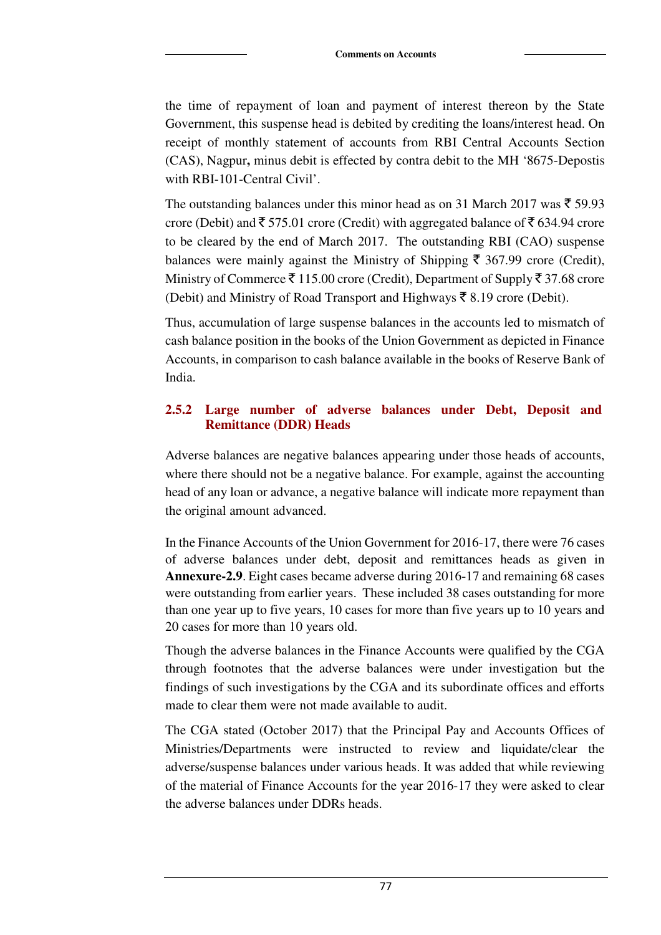the time of repayment of loan and payment of interest thereon by the State Government, this suspense head is debited by crediting the loans/interest head. On receipt of monthly statement of accounts from RBI Central Accounts Section (CAS), Nagpur**,** minus debit is effected by contra debit to the MH '8675-Depostis with RBI-101-Central Civil'.

The outstanding balances under this minor head as on 31 March 2017 was  $\bar{\tau}$  59.93 crore (Debit) and  $\bar{\xi}$  575.01 crore (Credit) with aggregated balance of  $\bar{\xi}$  634.94 crore to be cleared by the end of March 2017. The outstanding RBI (CAO) suspense balances were mainly against the Ministry of Shipping  $\bar{\tau}$  367.99 crore (Credit), Ministry of Commerce  $\bar{\tau}$  115.00 crore (Credit), Department of Supply  $\bar{\tau}$  37.68 crore (Debit) and Ministry of Road Transport and Highways  $\bar{\bar{\xi}}$  8.19 crore (Debit).

Thus, accumulation of large suspense balances in the accounts led to mismatch of cash balance position in the books of the Union Government as depicted in Finance Accounts, in comparison to cash balance available in the books of Reserve Bank of India.

# **2.5.2 Large number of adverse balances under Debt, Deposit and Remittance (DDR) Heads**

Adverse balances are negative balances appearing under those heads of accounts, where there should not be a negative balance. For example, against the accounting head of any loan or advance, a negative balance will indicate more repayment than the original amount advanced.

In the Finance Accounts of the Union Government for 2016-17, there were 76 cases of adverse balances under debt, deposit and remittances heads as given in **Annexure-2.9**. Eight cases became adverse during 2016-17 and remaining 68 cases were outstanding from earlier years. These included 38 cases outstanding for more than one year up to five years, 10 cases for more than five years up to 10 years and 20 cases for more than 10 years old.

Though the adverse balances in the Finance Accounts were qualified by the CGA through footnotes that the adverse balances were under investigation but the findings of such investigations by the CGA and its subordinate offices and efforts made to clear them were not made available to audit.

The CGA stated (October 2017) that the Principal Pay and Accounts Offices of Ministries/Departments were instructed to review and liquidate/clear the adverse/suspense balances under various heads. It was added that while reviewing of the material of Finance Accounts for the year 2016-17 they were asked to clear the adverse balances under DDRs heads.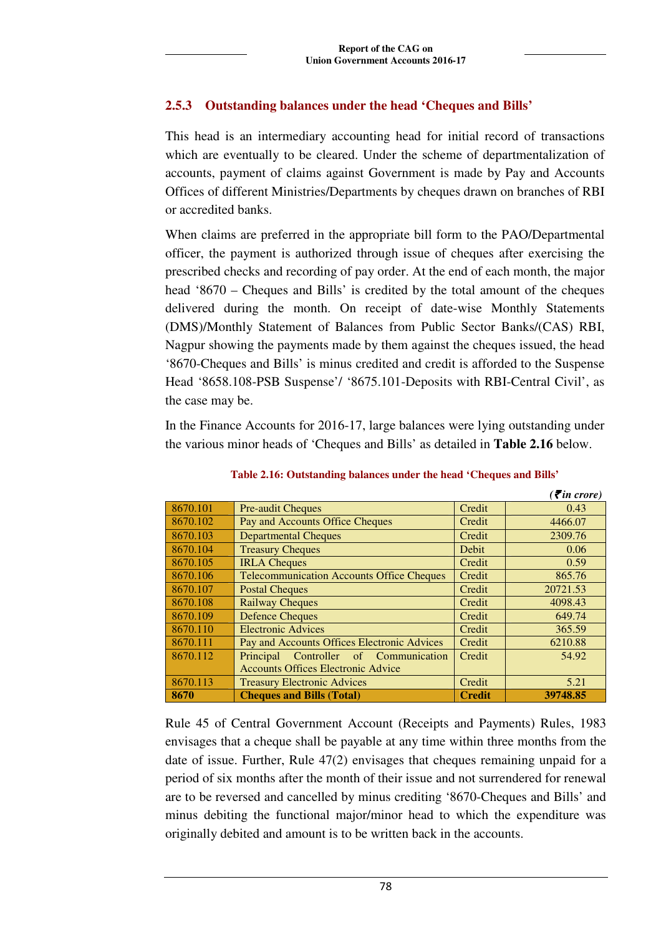# **2.5.3 Outstanding balances under the head 'Cheques and Bills'**

This head is an intermediary accounting head for initial record of transactions which are eventually to be cleared. Under the scheme of departmentalization of accounts, payment of claims against Government is made by Pay and Accounts Offices of different Ministries/Departments by cheques drawn on branches of RBI or accredited banks.

When claims are preferred in the appropriate bill form to the PAO/Departmental officer, the payment is authorized through issue of cheques after exercising the prescribed checks and recording of pay order. At the end of each month, the major head '8670 – Cheques and Bills' is credited by the total amount of the cheques delivered during the month. On receipt of date-wise Monthly Statements (DMS)/Monthly Statement of Balances from Public Sector Banks/(CAS) RBI, Nagpur showing the payments made by them against the cheques issued, the head '8670-Cheques and Bills' is minus credited and credit is afforded to the Suspense Head '8658.108-PSB Suspense'/ '8675.101-Deposits with RBI-Central Civil', as the case may be.

In the Finance Accounts for 2016-17, large balances were lying outstanding under the various minor heads of 'Cheques and Bills' as detailed in **Table 2.16** below.

|          |                                                  |               | $\overline{\mathcal{F}}$ in crore) |
|----------|--------------------------------------------------|---------------|------------------------------------|
| 8670.101 | <b>Pre-audit Cheques</b>                         | Credit        | 0.43                               |
| 8670.102 | Pay and Accounts Office Cheques                  | Credit        | 4466.07                            |
| 8670.103 | <b>Departmental Cheques</b>                      | Credit        | 2309.76                            |
| 8670.104 | <b>Treasury Cheques</b>                          | <b>Debit</b>  | 0.06                               |
| 8670.105 | <b>IRLA Cheques</b>                              | Credit        | 0.59                               |
| 8670.106 | <b>Telecommunication Accounts Office Cheques</b> | Credit        | 865.76                             |
| 8670.107 | <b>Postal Cheques</b>                            | Credit        | 20721.53                           |
| 8670.108 | <b>Railway Cheques</b>                           | Credit        | 4098.43                            |
| 8670.109 | <b>Defence Cheques</b>                           | Credit        | 649.74                             |
| 8670.110 | <b>Electronic Advices</b>                        | Credit        | 365.59                             |
| 8670.111 | Pay and Accounts Offices Electronic Advices      | Credit        | 6210.88                            |
| 8670.112 | Controller of Communication<br>Principal         | Credit        | 54.92                              |
|          | <b>Accounts Offices Electronic Advice</b>        |               |                                    |
| 8670.113 | <b>Treasury Electronic Advices</b>               | Credit        | 5.21                               |
| 8670     | <b>Cheques and Bills (Total)</b>                 | <b>Credit</b> | 39748.85                           |

**Table 2.16: Outstanding balances under the head 'Cheques and Bills'** 

Rule 45 of Central Government Account (Receipts and Payments) Rules, 1983 envisages that a cheque shall be payable at any time within three months from the date of issue. Further, Rule 47(2) envisages that cheques remaining unpaid for a period of six months after the month of their issue and not surrendered for renewal are to be reversed and cancelled by minus crediting '8670-Cheques and Bills' and minus debiting the functional major/minor head to which the expenditure was originally debited and amount is to be written back in the accounts.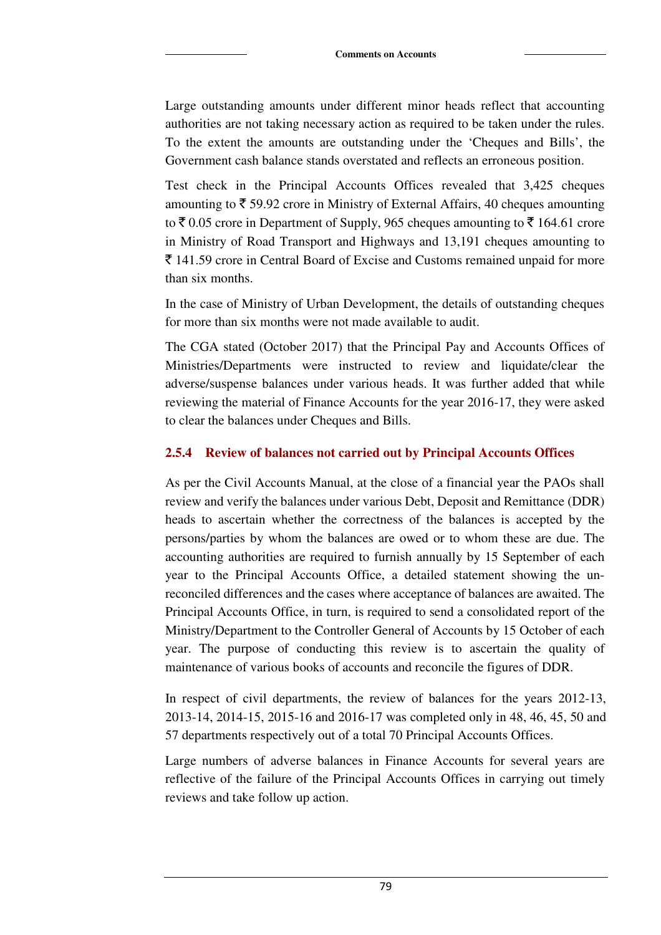Large outstanding amounts under different minor heads reflect that accounting authorities are not taking necessary action as required to be taken under the rules. To the extent the amounts are outstanding under the 'Cheques and Bills', the Government cash balance stands overstated and reflects an erroneous position.

Test check in the Principal Accounts Offices revealed that 3,425 cheques amounting to  $\bar{\tau}$  59.92 crore in Ministry of External Affairs, 40 cheques amounting to  $\bar{\xi}$  0.05 crore in Department of Supply, 965 cheques amounting to  $\bar{\xi}$  164.61 crore in Ministry of Road Transport and Highways and 13,191 cheques amounting to  $\bar{\tau}$  141.59 crore in Central Board of Excise and Customs remained unpaid for more than six months.

In the case of Ministry of Urban Development, the details of outstanding cheques for more than six months were not made available to audit.

The CGA stated (October 2017) that the Principal Pay and Accounts Offices of Ministries/Departments were instructed to review and liquidate/clear the adverse/suspense balances under various heads. It was further added that while reviewing the material of Finance Accounts for the year 2016-17, they were asked to clear the balances under Cheques and Bills.

#### **2.5.4 Review of balances not carried out by Principal Accounts Offices**

As per the Civil Accounts Manual, at the close of a financial year the PAOs shall review and verify the balances under various Debt, Deposit and Remittance (DDR) heads to ascertain whether the correctness of the balances is accepted by the persons/parties by whom the balances are owed or to whom these are due. The accounting authorities are required to furnish annually by 15 September of each year to the Principal Accounts Office, a detailed statement showing the unreconciled differences and the cases where acceptance of balances are awaited. The Principal Accounts Office, in turn, is required to send a consolidated report of the Ministry/Department to the Controller General of Accounts by 15 October of each year. The purpose of conducting this review is to ascertain the quality of maintenance of various books of accounts and reconcile the figures of DDR.

In respect of civil departments, the review of balances for the years 2012-13, 2013-14, 2014-15, 2015-16 and 2016-17 was completed only in 48, 46, 45, 50 and 57 departments respectively out of a total 70 Principal Accounts Offices.

Large numbers of adverse balances in Finance Accounts for several years are reflective of the failure of the Principal Accounts Offices in carrying out timely reviews and take follow up action.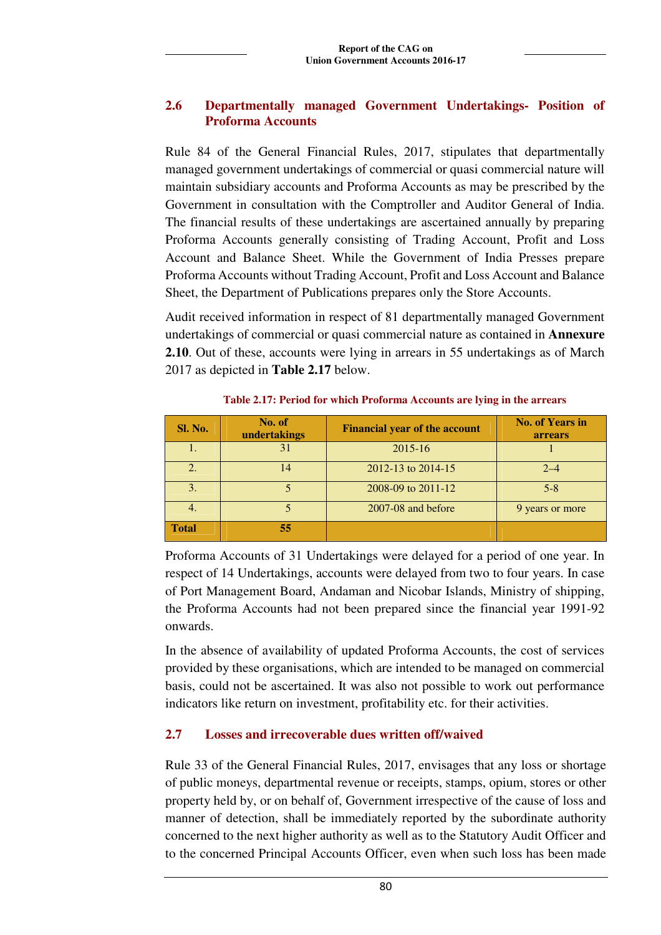#### **2.6 Departmentally managed Government Undertakings- Position of Proforma Accounts**

Rule 84 of the General Financial Rules, 2017, stipulates that departmentally managed government undertakings of commercial or quasi commercial nature will maintain subsidiary accounts and Proforma Accounts as may be prescribed by the Government in consultation with the Comptroller and Auditor General of India. The financial results of these undertakings are ascertained annually by preparing Proforma Accounts generally consisting of Trading Account, Profit and Loss Account and Balance Sheet. While the Government of India Presses prepare Proforma Accounts without Trading Account, Profit and Loss Account and Balance Sheet, the Department of Publications prepares only the Store Accounts.

Audit received information in respect of 81 departmentally managed Government undertakings of commercial or quasi commercial nature as contained in **Annexure 2.10**. Out of these, accounts were lying in arrears in 55 undertakings as of March 2017 as depicted in **Table 2.17** below.

| <b>Sl. No.</b> | No. of<br>undertakings | <b>Financial year of the account</b> | <b>No. of Years in</b><br><b>arrears</b> |
|----------------|------------------------|--------------------------------------|------------------------------------------|
|                | 31                     | $2015 - 16$                          |                                          |
|                | 14                     | 2012-13 to 2014-15                   | $2 - 4$                                  |
| 3.             |                        | 2008-09 to 2011-12                   | $5 - 8$                                  |
| 4.             |                        | $2007 - 08$ and before               | 9 years or more                          |
| <b>Total</b>   | 55                     |                                      |                                          |

**Table 2.17: Period for which Proforma Accounts are lying in the arrears** 

Proforma Accounts of 31 Undertakings were delayed for a period of one year. In respect of 14 Undertakings, accounts were delayed from two to four years. In case of Port Management Board, Andaman and Nicobar Islands, Ministry of shipping, the Proforma Accounts had not been prepared since the financial year 1991-92 onwards.

In the absence of availability of updated Proforma Accounts, the cost of services provided by these organisations, which are intended to be managed on commercial basis, could not be ascertained. It was also not possible to work out performance indicators like return on investment, profitability etc. for their activities.

# **2.7 Losses and irrecoverable dues written off/waived**

Rule 33 of the General Financial Rules, 2017, envisages that any loss or shortage of public moneys, departmental revenue or receipts, stamps, opium, stores or other property held by, or on behalf of, Government irrespective of the cause of loss and manner of detection, shall be immediately reported by the subordinate authority concerned to the next higher authority as well as to the Statutory Audit Officer and to the concerned Principal Accounts Officer, even when such loss has been made